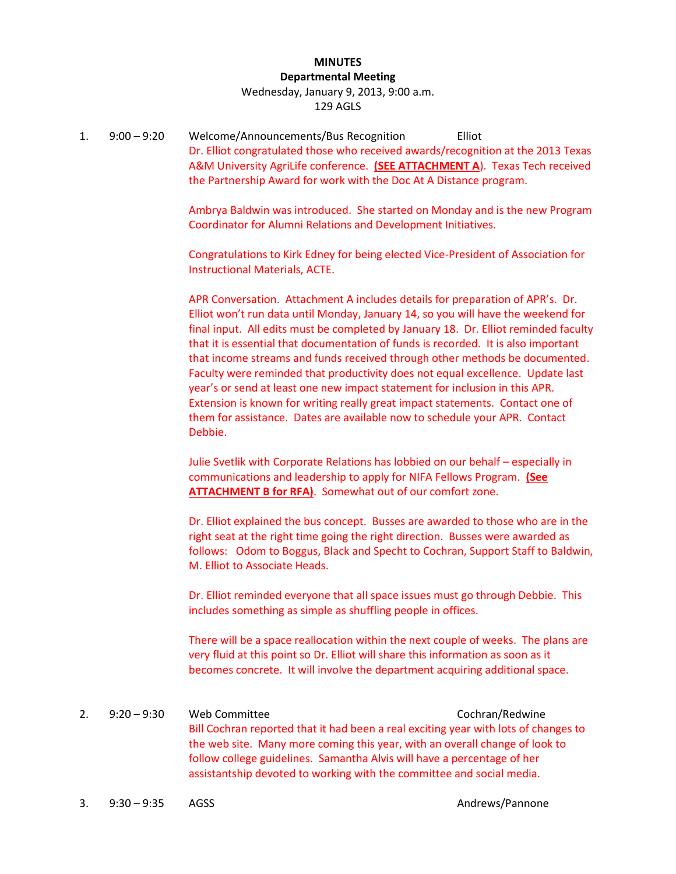#### **MINUTES Departmental Meeting**

## Wednesday, January 9, 2013, 9:00 a.m. 129 AGLS

1. 9:00 – 9:20 Welcome/Announcements/Bus Recognition Elliot Dr. Elliot congratulated those who received awards/recognition at the 2013 Texas A&M University AgriLife conference. **(SEE ATTACHMENT A**). Texas Tech received the Partnership Award for work with the Doc At A Distance program.

> Ambrya Baldwin was introduced. She started on Monday and is the new Program Coordinator for Alumni Relations and Development Initiatives.

Congratulations to Kirk Edney for being elected Vice-President of Association for Instructional Materials, ACTE.

APR Conversation. Attachment A includes details for preparation of APR's. Dr. Elliot won't run data until Monday, January 14, so you will have the weekend for final input. All edits must be completed by January 18. Dr. Elliot reminded faculty that it is essential that documentation of funds is recorded. It is also important that income streams and funds received through other methods be documented. Faculty were reminded that productivity does not equal excellence. Update last year's or send at least one new impact statement for inclusion in this APR. Extension is known for writing really great impact statements. Contact one of them for assistance. Dates are available now to schedule your APR. Contact Debbie.

Julie Svetlik with Corporate Relations has lobbied on our behalf – especially in communications and leadership to apply for NIFA Fellows Program. **(See ATTACHMENT B for RFA)**. Somewhat out of our comfort zone.

Dr. Elliot explained the bus concept. Busses are awarded to those who are in the right seat at the right time going the right direction. Busses were awarded as follows: Odom to Boggus, Black and Specht to Cochran, Support Staff to Baldwin, M. Elliot to Associate Heads.

Dr. Elliot reminded everyone that all space issues must go through Debbie. This includes something as simple as shuffling people in offices.

There will be a space reallocation within the next couple of weeks. The plans are very fluid at this point so Dr. Elliot will share this information as soon as it becomes concrete. It will involve the department acquiring additional space.

2. 9:20 – 9:30 Web Committee Cochran/Redwine Bill Cochran reported that it had been a real exciting year with lots of changes to the web site. Many more coming this year, with an overall change of look to follow college guidelines. Samantha Alvis will have a percentage of her assistantship devoted to working with the committee and social media.

3. 9:30 – 9:35 AGSS Andrews/Pannone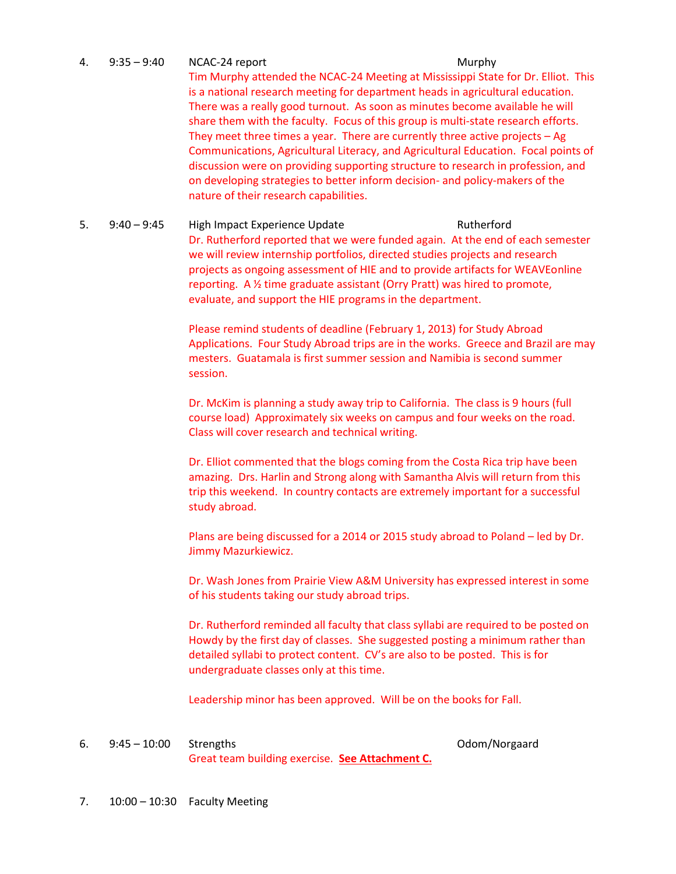- 4. 9:35 9:40 NCAC-24 report Murphy Tim Murphy attended the NCAC-24 Meeting at Mississippi State for Dr. Elliot. This is a national research meeting for department heads in agricultural education. There was a really good turnout. As soon as minutes become available he will share them with the faculty. Focus of this group is multi-state research efforts. They meet three times a year. There are currently three active projects – Ag Communications, Agricultural Literacy, and Agricultural Education. Focal points of discussion were on providing supporting structure to research in profession, and on developing strategies to better inform decision- and policy-makers of the nature of their research capabilities.
- 5. 9:40 9:45 High Impact Experience Update Rutherford Dr. Rutherford reported that we were funded again. At the end of each semester we will review internship portfolios, directed studies projects and research projects as ongoing assessment of HIE and to provide artifacts for WEAVEonline reporting. A ½ time graduate assistant (Orry Pratt) was hired to promote, evaluate, and support the HIE programs in the department.

Please remind students of deadline (February 1, 2013) for Study Abroad Applications. Four Study Abroad trips are in the works. Greece and Brazil are may mesters. Guatamala is first summer session and Namibia is second summer session.

Dr. McKim is planning a study away trip to California. The class is 9 hours (full course load) Approximately six weeks on campus and four weeks on the road. Class will cover research and technical writing.

Dr. Elliot commented that the blogs coming from the Costa Rica trip have been amazing. Drs. Harlin and Strong along with Samantha Alvis will return from this trip this weekend. In country contacts are extremely important for a successful study abroad.

Plans are being discussed for a 2014 or 2015 study abroad to Poland – led by Dr. Jimmy Mazurkiewicz.

Dr. Wash Jones from Prairie View A&M University has expressed interest in some of his students taking our study abroad trips.

Dr. Rutherford reminded all faculty that class syllabi are required to be posted on Howdy by the first day of classes. She suggested posting a minimum rather than detailed syllabi to protect content. CV's are also to be posted. This is for undergraduate classes only at this time.

Leadership minor has been approved. Will be on the books for Fall.

6. 9:45 – 10:00 Strengths Odom/Norgaard Great team building exercise. **See Attachment C.**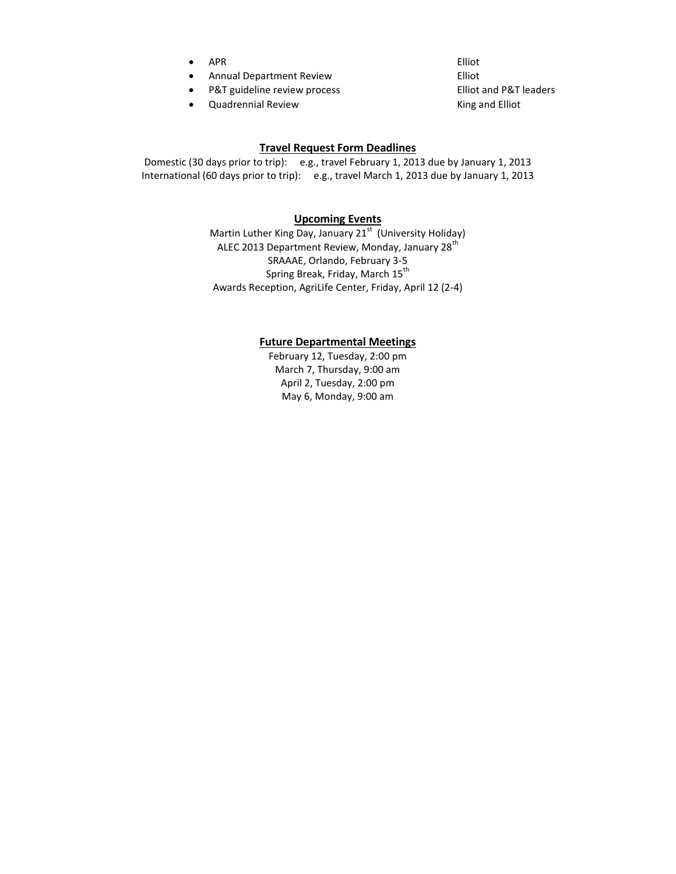- APR Elliot
- Annual Department Review **Elliot**
- P&T guideline review process Elliot and P&T leaders
- Quadrennial Review The Contract of the King and Elliot

#### **Travel Request Form Deadlines**

Domestic (30 days prior to trip): e.g., travel February 1, 2013 due by January 1, 2013 International (60 days prior to trip): e.g., travel March 1, 2013 due by January 1, 2013

#### **Upcoming Events**

Martin Luther King Day, January 21<sup>st</sup> (University Holiday) ALEC 2013 Department Review, Monday, January 28<sup>th</sup> SRAAAE, Orlando, February 3-5 Spring Break, Friday, March 15<sup>th</sup> Awards Reception, AgriLife Center, Friday, April 12 (2-4)

#### **Future Departmental Meetings**

February 12, Tuesday, 2:00 pm March 7, Thursday, 9:00 am April 2, Tuesday, 2:00 pm May 6, Monday, 9:00 am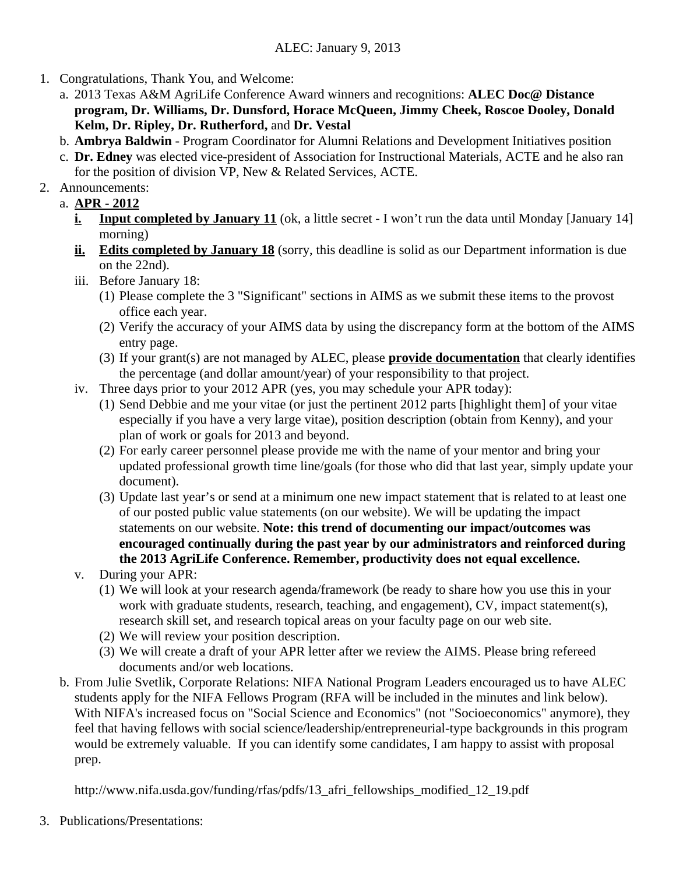## ALEC: January 9, 2013

- 1. Congratulations, Thank You, and Welcome:
	- a. 2013 Texas A&M AgriLife Conference Award winners and recognitions: **ALEC Doc@ Distance program, Dr. Williams, Dr. Dunsford, Horace McQueen, Jimmy Cheek, Roscoe Dooley, Donald Kelm, Dr. Ripley, Dr. Rutherford,** and **Dr. Vestal**
	- b. **Ambrya Baldwin**  Program Coordinator for Alumni Relations and Development Initiatives position
	- c. **Dr. Edney** was elected vice-president of Association for Instructional Materials, ACTE and he also ran for the position of division VP, New & Related Services, ACTE.
- 2. Announcements:
	- a. **APR 2012**
		- **i.** Input completed by January 11 (ok, a little secret I won't run the data until Monday [January 14] morning)
		- **ii. Edits completed by January 18** (sorry, this deadline is solid as our Department information is due on the 22nd).
		- iii. Before January 18:
			- (1) Please complete the 3 "Significant" sections in AIMS as we submit these items to the provost office each year.
			- (2) Verify the accuracy of your AIMS data by using the discrepancy form at the bottom of the AIMS entry page.
			- (3) If your grant(s) are not managed by ALEC, please **provide documentation** that clearly identifies the percentage (and dollar amount/year) of your responsibility to that project.
		- iv. Three days prior to your 2012 APR (yes, you may schedule your APR today):
			- (1) Send Debbie and me your vitae (or just the pertinent 2012 parts [highlight them] of your vitae especially if you have a very large vitae), position description (obtain from Kenny), and your plan of work or goals for 2013 and beyond.
			- (2) For early career personnel please provide me with the name of your mentor and bring your updated professional growth time line/goals (for those who did that last year, simply update your document).
			- (3) Update last year's or send at a minimum one new impact statement that is related to at least one of our posted public value statements (on our website). We will be updating the impact statements on our website. **Note: this trend of documenting our impact/outcomes was encouraged continually during the past year by our administrators and reinforced during the 2013 AgriLife Conference. Remember, productivity does not equal excellence.**
		- v. During your APR:
			- (1) We will look at your research agenda/framework (be ready to share how you use this in your work with graduate students, research, teaching, and engagement), CV, impact statement(s), research skill set, and research topical areas on your faculty page on our web site.
			- (2) We will review your position description.
			- (3) We will create a draft of your APR letter after we review the AIMS. Please bring refereed documents and/or web locations.
	- b. From Julie Svetlik, Corporate Relations: NIFA National Program Leaders encouraged us to have ALEC students apply for the NIFA Fellows Program (RFA will be included in the minutes and link below). With NIFA's increased focus on "Social Science and Economics" (not "Socioeconomics" anymore), they feel that having fellows with social science/leadership/entrepreneurial-type backgrounds in this program would be extremely valuable. If you can identify some candidates, I am happy to assist with proposal prep.

http://www.nifa.usda.gov/funding/rfas/pdfs/13 afri fellowships modified 12 19.pdf

3. Publications/Presentations: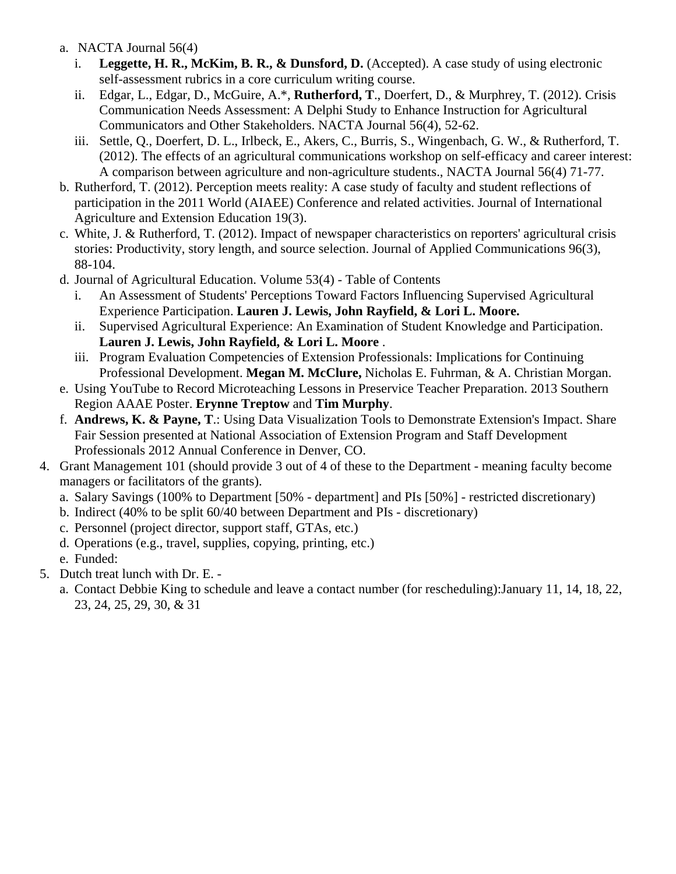- a. NACTA Journal 56(4)
	- i. **Leggette, H. R., McKim, B. R., & Dunsford, D.** (Accepted). A case study of using electronic self-assessment rubrics in a core curriculum writing course.
	- ii. Edgar, L., Edgar, D., McGuire, A.\*, **Rutherford, T**., Doerfert, D., & Murphrey, T. (2012). Crisis Communication Needs Assessment: A Delphi Study to Enhance Instruction for Agricultural Communicators and Other Stakeholders. NACTA Journal 56(4), 52-62.
	- iii. Settle, Q., Doerfert, D. L., Irlbeck, E., Akers, C., Burris, S., Wingenbach, G. W., & Rutherford, T. (2012). The effects of an agricultural communications workshop on self-efficacy and career interest: A comparison between agriculture and non-agriculture students., NACTA Journal 56(4) 71-77.
- b. Rutherford, T. (2012). Perception meets reality: A case study of faculty and student reflections of participation in the 2011 World (AIAEE) Conference and related activities. Journal of International Agriculture and Extension Education 19(3).
- c. White, J. & Rutherford, T. (2012). Impact of newspaper characteristics on reporters' agricultural crisis stories: Productivity, story length, and source selection. Journal of Applied Communications 96(3), 88-104.
- d. Journal of Agricultural Education. Volume 53(4) Table of Contents
	- i. An Assessment of Students' Perceptions Toward Factors Influencing Supervised Agricultural Experience Participation. **Lauren J. Lewis, John Rayfield, & Lori L. Moore.**
	- ii. Supervised Agricultural Experience: An Examination of Student Knowledge and Participation. **Lauren J. Lewis, John Rayfield, & Lori L. Moore** .
	- iii. Program Evaluation Competencies of Extension Professionals: Implications for Continuing Professional Development. **Megan M. McClure,** Nicholas E. Fuhrman, & A. Christian Morgan.
- e. Using YouTube to Record Microteaching Lessons in Preservice Teacher Preparation. 2013 Southern Region AAAE Poster. **Erynne Treptow** and **Tim Murphy**.
- f. **Andrews, K. & Payne, T**.: Using Data Visualization Tools to Demonstrate Extension's Impact. Share Fair Session presented at National Association of Extension Program and Staff Development Professionals 2012 Annual Conference in Denver, CO.
- 4. Grant Management 101 (should provide 3 out of 4 of these to the Department meaning faculty become managers or facilitators of the grants).
	- a. Salary Savings (100% to Department [50% department] and PIs [50%] restricted discretionary)
	- b. Indirect (40% to be split 60/40 between Department and PIs discretionary)
	- c. Personnel (project director, support staff, GTAs, etc.)
	- d. Operations (e.g., travel, supplies, copying, printing, etc.)
	- e. Funded:
- 5. Dutch treat lunch with Dr. E.
	- a. Contact Debbie King to schedule and leave a contact number (for rescheduling):January 11, 14, 18, 22, 23, 24, 25, 29, 30, & 31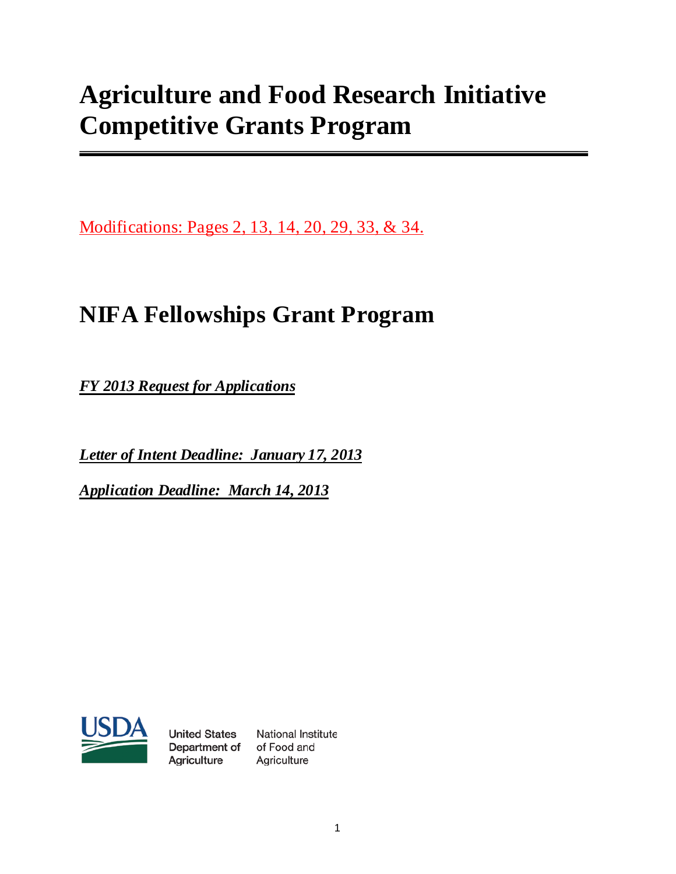# **Agriculture and Food Research Initiative Competitive Grants Program**

Modifications: Pages 2, 13, 14, 20, 29, 33, & 34.

# **NIFA Fellowships Grant Program**

*FY 2013 Request for Applications*

*Letter of Intent Deadline: January 17, 2013*

*Application Deadline: March 14, 2013*



**United States** Department of of Food and Agriculture

National Institute Agriculture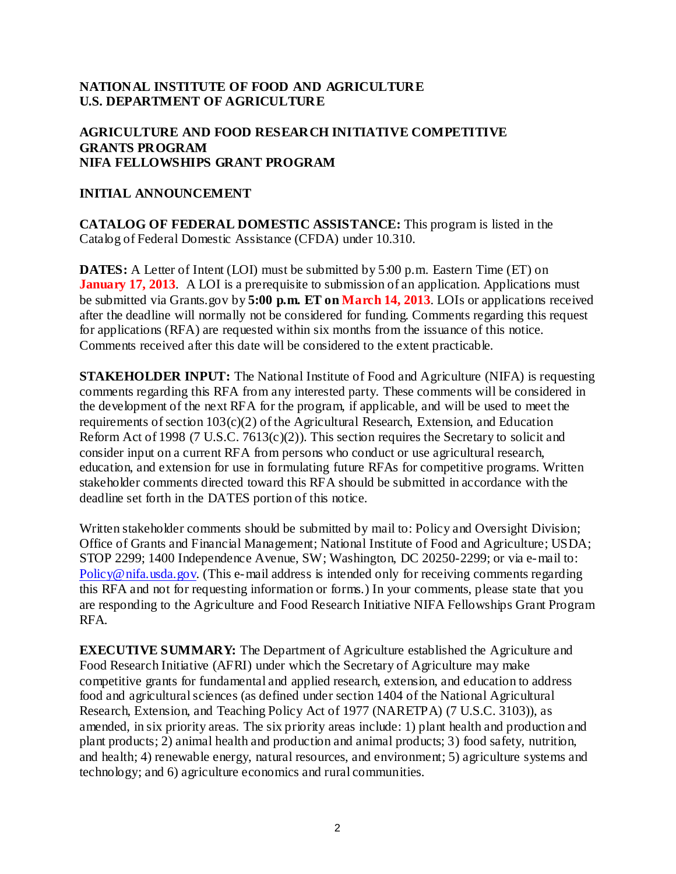## **NATIONAL INSTITUTE OF FOOD AND AGRICULTURE U.S. DEPARTMENT OF AGRICULTURE**

## **AGRICULTURE AND FOOD RESEARCH INITIATIVE COMPETITIVE GRANTS PROGRAM NIFA FELLOWSHIPS GRANT PROGRAM**

## **INITIAL ANNOUNCEMENT**

**CATALOG OF FEDERAL DOMESTIC ASSISTANCE:** This program is listed in the Catalog of Federal Domestic Assistance (CFDA) under 10.310.

**DATES:** A Letter of Intent (LOI) must be submitted by 5:00 p.m. Eastern Time (ET) on **January 17, 2013.** A LOI is a prerequisite to submission of an application. Applications must be submitted via Grants.gov by **5:00 p.m. ET on March 14, 2013**. LOIs or applications received after the deadline will normally not be considered for funding. Comments regarding this request for applications (RFA) are requested within six months from the issuance of this notice. Comments received after this date will be considered to the extent practicable.

**STAKEHOLDER INPUT:** The National Institute of Food and Agriculture (NIFA) is requesting comments regarding this RFA from any interested party. These comments will be considered in the development of the next RFA for the program, if applicable, and will be used to meet the requirements of section 103(c)(2) of the Agricultural Research, Extension, and Education Reform Act of 1998 (7 U.S.C. 7613(c)(2)). This section requires the Secretary to solicit and consider input on a current RFA from persons who conduct or use agricultural research, education, and extension for use in formulating future RFAs for competitive programs. Written stakeholder comments directed toward this RFA should be submitted in accordance with the deadline set forth in the DATES portion of this notice.

Written stakeholder comments should be submitted by mail to: Policy and Oversight Division; Office of Grants and Financial Management; National Institute of Food and Agriculture; USDA; STOP 2299; 1400 Independence Avenue, SW; Washington, DC 20250-2299; or via e-mail to: [Policy@nifa.usda.gov.](mailto:Policy@nifa.usda.gov) (This e-mail address is intended only for receiving comments regarding this RFA and not for requesting information or forms.) In your comments, please state that you are responding to the Agriculture and Food Research Initiative NIFA Fellowships Grant Program RFA.

**EXECUTIVE SUMMARY:** The Department of Agriculture established the Agriculture and Food Research Initiative (AFRI) under which the Secretary of Agriculture may make competitive grants for fundamental and applied research, extension, and education to address food and agricultural sciences (as defined under section 1404 of the National Agricultural Research, Extension, and Teaching Policy Act of 1977 (NARETPA) (7 U.S.C. 3103)), as amended, in six priority areas. The six priority areas include: 1) plant health and production and plant products; 2) animal health and production and animal products; 3) food safety, nutrition, and health; 4) renewable energy, natural resources, and environment; 5) agriculture systems and technology; and 6) agriculture economics and rural communities.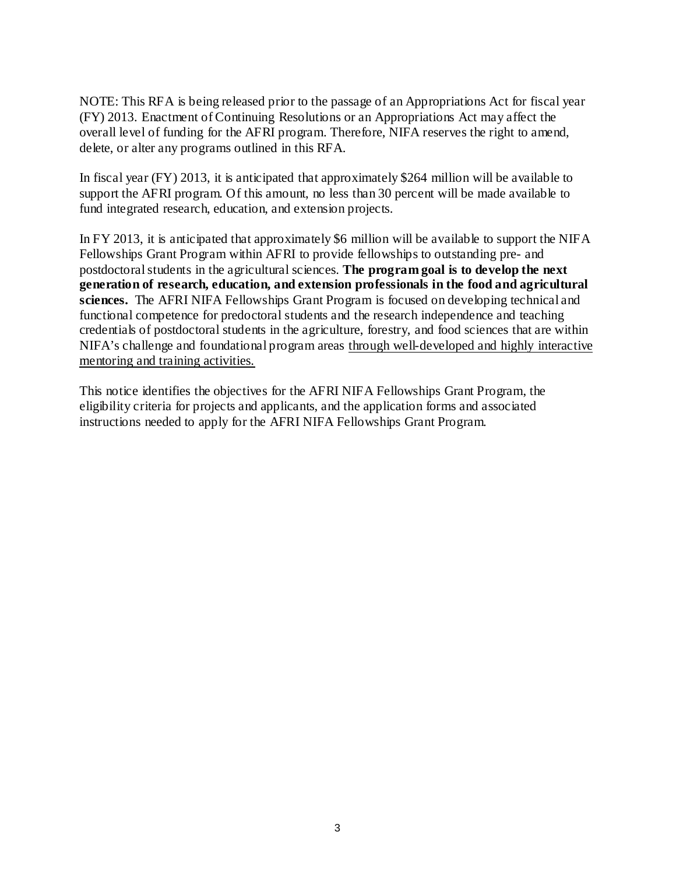NOTE: This RFA is being released prior to the passage of an Appropriations Act for fiscal year (FY) 2013. Enactment of Continuing Resolutions or an Appropriations Act may affect the overall level of funding for the AFRI program. Therefore, NIFA reserves the right to amend, delete, or alter any programs outlined in this RFA.

In fiscal year (FY) 2013, it is anticipated that approximately \$264 million will be available to support the AFRI program. Of this amount, no less than 30 percent will be made available to fund integrated research, education, and extension projects.

In FY 2013, it is anticipated that approximately \$6 million will be available to support the NIFA Fellowships Grant Program within AFRI to provide fellowships to outstanding pre- and postdoctoral students in the agricultural sciences. **The program goal is to develop the next generation of research, education, and extension professionals in the food and agricultural sciences.** The AFRI NIFA Fellowships Grant Program is focused on developing technical and functional competence for predoctoral students and the research independence and teaching credentials of postdoctoral students in the agriculture, forestry, and food sciences that are within NIFA's challenge and foundational program areas through well-developed and highly interactive mentoring and training activities.

This notice identifies the objectives for the AFRI NIFA Fellowships Grant Program, the eligibility criteria for projects and applicants, and the application forms and associated instructions needed to apply for the AFRI NIFA Fellowships Grant Program.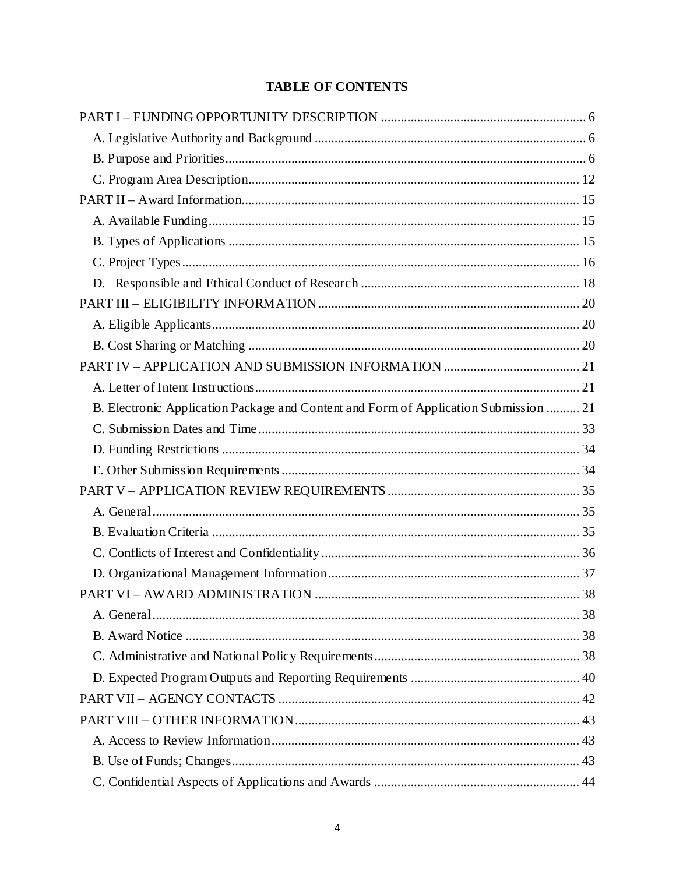## **TABLE OF CONTENTS**

| B. Electronic Application Package and Content and Form of Application Submission  21 |  |
|--------------------------------------------------------------------------------------|--|
|                                                                                      |  |
|                                                                                      |  |
|                                                                                      |  |
|                                                                                      |  |
|                                                                                      |  |
|                                                                                      |  |
|                                                                                      |  |
|                                                                                      |  |
|                                                                                      |  |
|                                                                                      |  |
|                                                                                      |  |
|                                                                                      |  |
|                                                                                      |  |
|                                                                                      |  |
|                                                                                      |  |
|                                                                                      |  |
|                                                                                      |  |
|                                                                                      |  |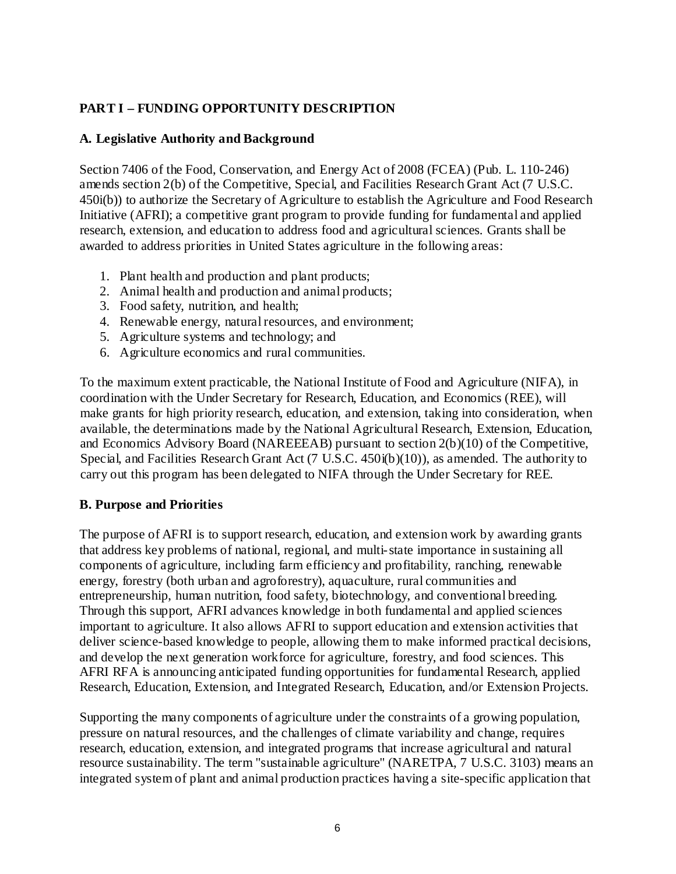## <span id="page-10-0"></span>**PART I – FUNDING OPPORTUNITY DESCRIPTION**

## <span id="page-10-1"></span>**A. Legislative Authority and Background**

Section 7406 of the Food, Conservation, and Energy Act of 2008 (FCEA) (Pub. L. 110-246) amends section 2(b) of the Competitive, Special, and Facilities Research Grant Act (7 U.S.C. 450i(b)) to authorize the Secretary of Agriculture to establish the Agriculture and Food Research Initiative (AFRI); a competitive grant program to provide funding for fundamental and applied research, extension, and education to address food and agricultural sciences. Grants shall be awarded to address priorities in United States agriculture in the following areas:

- 1. Plant health and production and plant products;
- 2. Animal health and production and animal products;
- 3. Food safety, nutrition, and health;
- 4. Renewable energy, natural resources, and environment;
- 5. Agriculture systems and technology; and
- 6. Agriculture economics and rural communities.

To the maximum extent practicable, the National Institute of Food and Agriculture (NIFA), in coordination with the Under Secretary for Research, Education, and Economics (REE), will make grants for high priority research, education, and extension, taking into consideration, when available, the determinations made by the National Agricultural Research, Extension, Education, and Economics Advisory Board (NAREEEAB) pursuant to section 2(b)(10) of the Competitive, Special, and Facilities Research Grant Act (7 U.S.C. 450i(b)(10)), as amended. The authority to carry out this program has been delegated to NIFA through the Under Secretary for REE.

## <span id="page-10-2"></span>**B. Purpose and Priorities**

The purpose of AFRI is to support research, education, and extension work by awarding grants that address key problems of national, regional, and multi-state importance in sustaining all components of agriculture, including farm efficiency and profitability, ranching, renewable energy, forestry (both urban and agroforestry), aquaculture, rural communities and entrepreneurship, human nutrition, food safety, biotechnology, and conventional breeding. Through this support, AFRI advances knowledge in both fundamental and applied sciences important to agriculture. It also allows AFRI to support education and extension activities that deliver science-based knowledge to people, allowing them to make informed practical decisions, and develop the next generation workforce for agriculture, forestry, and food sciences. This AFRI RFA is announcing anticipated funding opportunities for fundamental Research, applied Research, Education, Extension, and Integrated Research, Education, and/or Extension Projects.

Supporting the many components of agriculture under the constraints of a growing population, pressure on natural resources, and the challenges of climate variability and change, requires research, education, extension, and integrated programs that increase agricultural and natural resource sustainability. The term ''sustainable agriculture'' (NARETPA, 7 U.S.C. 3103) means an integrated system of plant and animal production practices having a site-specific application that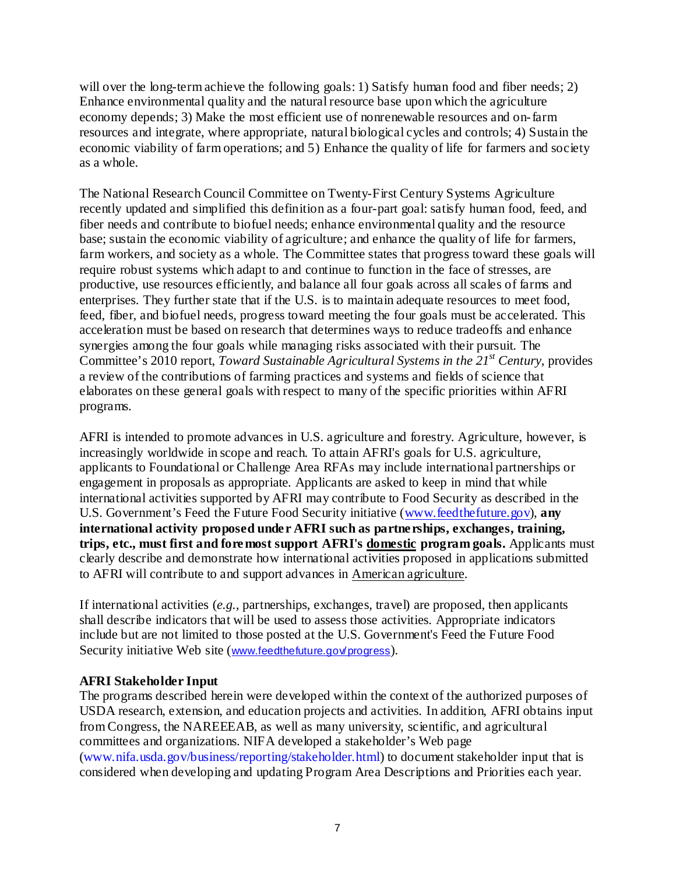will over the long-term achieve the following goals: 1) Satisfy human food and fiber needs; 2) Enhance environmental quality and the natural resource base upon which the agriculture economy depends; 3) Make the most efficient use of nonrenewable resources and on-farm resources and integrate, where appropriate, natural biological cycles and controls; 4) Sustain the economic viability of farm operations; and 5) Enhance the quality of life for farmers and society as a whole.

The National Research Council Committee on Twenty-First Century Systems Agriculture recently updated and simplified this definition as a four-part goal: satisfy human food, feed, and fiber needs and contribute to biofuel needs; enhance environmental quality and the resource base; sustain the economic viability of agriculture; and enhance the quality of life for farmers, farm workers, and society as a whole. The Committee states that progress toward these goals will require robust systems which adapt to and continue to function in the face of stresses, are productive, use resources efficiently, and balance all four goals across all scales of farms and enterprises. They further state that if the U.S. is to maintain adequate resources to meet food, feed, fiber, and biofuel needs, progress toward meeting the four goals must be accelerated. This acceleration must be based on research that determines ways to reduce tradeoffs and enhance synergies among the four goals while managing risks associated with their pursuit. The Committee's 2010 report, *Toward Sustainable Agricultural Systems in the 21st Century*, provides a review of the contributions of farming practices and systems and fields of science that elaborates on these general goals with respect to many of the specific priorities within AFRI programs.

AFRI is intended to promote advances in U.S. agriculture and forestry. Agriculture, however, is increasingly worldwide in scope and reach. To attain AFRI's goals for U.S. agriculture, applicants to Foundational or Challenge Area RFAs may include international partnerships or engagement in proposals as appropriate. Applicants are asked to keep in mind that while international activities supported by AFRI may contribute to Food Security as described in the U.S. Government's Feed the Future Food Security initiative [\(www.feedthefuture.gov\)](http://www.feedthefuture.gov/), **any international activity proposed under AFRI such as partnerships, exchanges, training, trips, etc., must first and foremost support AFRI's domestic program goals.** Applicants must clearly describe and demonstrate how international activities proposed in applications submitted to AFRI will contribute to and support advances in American agriculture.

If international activities (*e.g.,* partnerships, exchanges, travel) are proposed, then applicants shall describe indicators that will be used to assess those activities. Appropriate indicators include but are not limited to those posted at the U.S. Government's Feed the Future Food Security initiative Web site ([www.feedthefuture.gov/progress](http://www.feedthefuture.gov/progress)).

## **AFRI Stakeholder Input**

The programs described herein were developed within the context of the authorized purposes of USDA research, extension, and education projects and activities. In addition, AFRI obtains input from Congress, the NAREEEAB, as well as many university, scientific, and agricultural committees and organizations. NIFA developed a stakeholder's Web page [\(www.nifa.usda.gov/business/reporting/stakeholder.html\)](http://www.nifa.usda.gov/business/reporting/stakeholder.html) to document stakeholder input that is considered when developing and updating Program Area Descriptions and Priorities each year.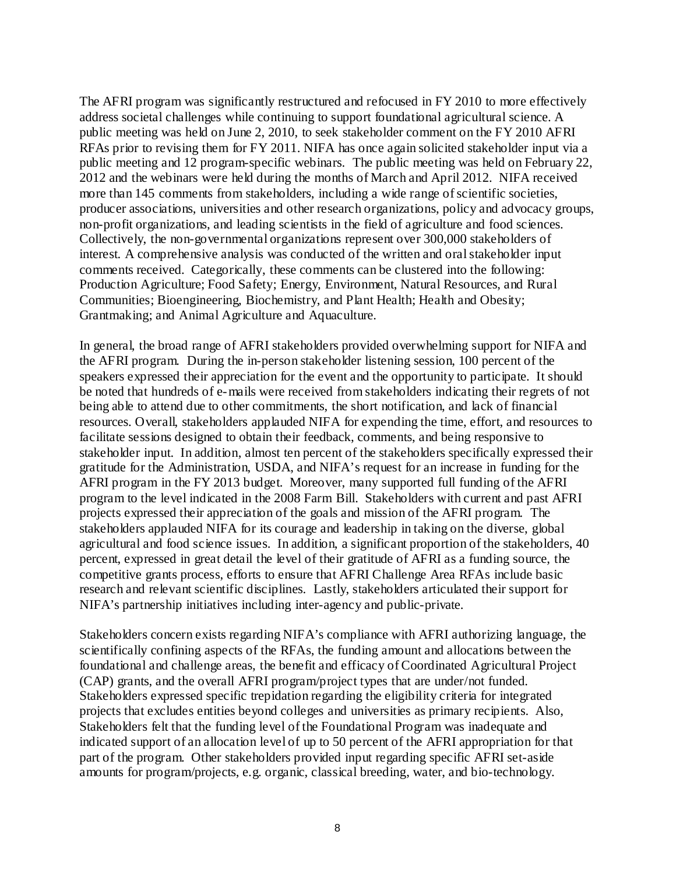The AFRI program was significantly restructured and refocused in FY 2010 to more effectively address societal challenges while continuing to support foundational agricultural science. A public meeting was held on June 2, 2010, to seek stakeholder comment on the FY 2010 AFRI RFAs prior to revising them for FY 2011. NIFA has once again solicited stakeholder input via a public meeting and 12 program-specific webinars. The public meeting was held on February 22, 2012 and the webinars were held during the months of March and April 2012. NIFA received more than 145 comments from stakeholders, including a wide range of scientific societies, producer associations, universities and other research organizations, policy and advocacy groups, non-profit organizations, and leading scientists in the field of agriculture and food sciences. Collectively, the non-governmental organizations represent over 300,000 stakeholders of interest. A comprehensive analysis was conducted of the written and oral stakeholder input comments received. Categorically, these comments can be clustered into the following: Production Agriculture; Food Safety; Energy, Environment, Natural Resources, and Rural Communities; Bioengineering, Biochemistry, and Plant Health; Health and Obesity; Grantmaking; and Animal Agriculture and Aquaculture.

In general, the broad range of AFRI stakeholders provided overwhelming support for NIFA and the AFRI program. During the in-person stakeholder listening session, 100 percent of the speakers expressed their appreciation for the event and the opportunity to participate. It should be noted that hundreds of e-mails were received from stakeholders indicating their regrets of not being able to attend due to other commitments, the short notification, and lack of financial resources. Overall, stakeholders applauded NIFA for expending the time, effort, and resources to facilitate sessions designed to obtain their feedback, comments, and being responsive to stakeholder input. In addition, almost ten percent of the stakeholders specifically expressed their gratitude for the Administration, USDA, and NIFA's request for an increase in funding for the AFRI program in the FY 2013 budget. Moreover, many supported full funding of the AFRI program to the level indicated in the 2008 Farm Bill. Stakeholders with current and past AFRI projects expressed their appreciation of the goals and mission of the AFRI program. The stakeholders applauded NIFA for its courage and leadership in taking on the diverse, global agricultural and food science issues. In addition, a significant proportion of the stakeholders, 40 percent, expressed in great detail the level of their gratitude of AFRI as a funding source, the competitive grants process, efforts to ensure that AFRI Challenge Area RFAs include basic research and relevant scientific disciplines. Lastly, stakeholders articulated their support for NIFA's partnership initiatives including inter-agency and public-private.

Stakeholders concern exists regarding NIFA's compliance with AFRI authorizing language, the scientifically confining aspects of the RFAs, the funding amount and allocations between the foundational and challenge areas, the benefit and efficacy of Coordinated Agricultural Project (CAP) grants, and the overall AFRI program/project types that are under/not funded. Stakeholders expressed specific trepidation regarding the eligibility criteria for integrated projects that excludes entities beyond colleges and universities as primary recipients. Also, Stakeholders felt that the funding level of the Foundational Program was inadequate and indicated support of an allocation level of up to 50 percent of the AFRI appropriation for that part of the program. Other stakeholders provided input regarding specific AFRI set-aside amounts for program/projects, e.g. organic, classical breeding, water, and bio-technology.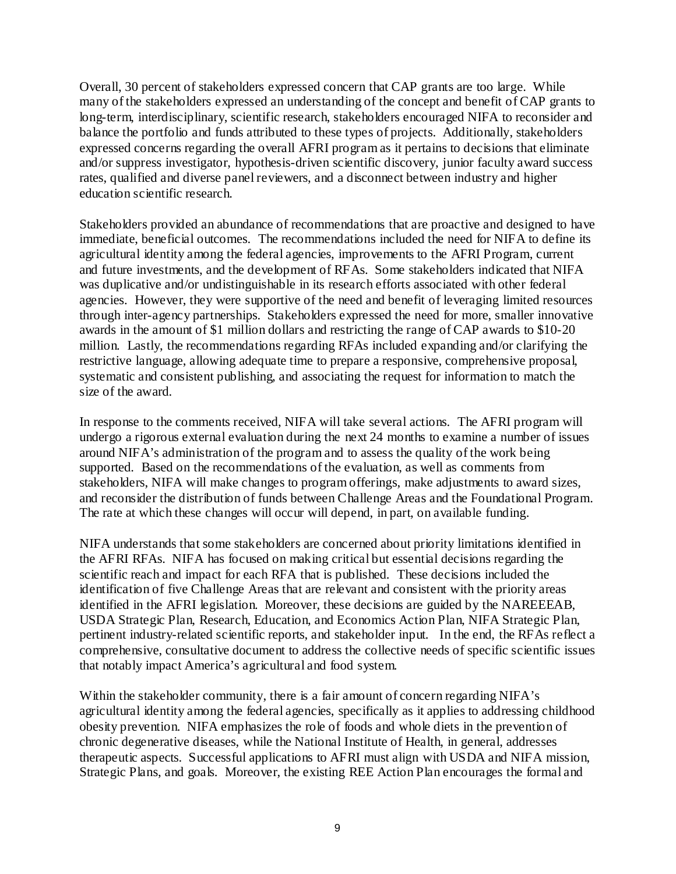Overall, 30 percent of stakeholders expressed concern that CAP grants are too large. While many of the stakeholders expressed an understanding of the concept and benefit of CAP grants to long-term, interdisciplinary, scientific research, stakeholders encouraged NIFA to reconsider and balance the portfolio and funds attributed to these types of projects. Additionally, stakeholders expressed concerns regarding the overall AFRI program as it pertains to decisions that eliminate and/or suppress investigator, hypothesis-driven scientific discovery, junior faculty award success rates, qualified and diverse panel reviewers, and a disconnect between industry and higher education scientific research.

Stakeholders provided an abundance of recommendations that are proactive and designed to have immediate, beneficial outcomes. The recommendations included the need for NIFA to define its agricultural identity among the federal agencies, improvements to the AFRI Program, current and future investments, and the development of RFAs. Some stakeholders indicated that NIFA was duplicative and/or undistinguishable in its research efforts associated with other federal agencies. However, they were supportive of the need and benefit of leveraging limited resources through inter-agency partnerships. Stakeholders expressed the need for more, smaller innovative awards in the amount of \$1 million dollars and restricting the range of CAP awards to \$10-20 million. Lastly, the recommendations regarding RFAs included expanding and/or clarifying the restrictive language, allowing adequate time to prepare a responsive, comprehensive proposal, systematic and consistent publishing, and associating the request for information to match the size of the award.

In response to the comments received, NIFA will take several actions. The AFRI program will undergo a rigorous external evaluation during the next 24 months to examine a number of issues around NIFA's administration of the program and to assess the quality of the work being supported. Based on the recommendations of the evaluation, as well as comments from stakeholders, NIFA will make changes to program offerings, make adjustments to award sizes, and reconsider the distribution of funds between Challenge Areas and the Foundational Program. The rate at which these changes will occur will depend, in part, on available funding.

NIFA understands that some stakeholders are concerned about priority limitations identified in the AFRI RFAs. NIFA has focused on making critical but essential decisions regarding the scientific reach and impact for each RFA that is published. These decisions included the identification of five Challenge Areas that are relevant and consistent with the priority areas identified in the AFRI legislation. Moreover, these decisions are guided by the NAREEEAB, USDA Strategic Plan, Research, Education, and Economics Action Plan, NIFA Strategic Plan, pertinent industry-related scientific reports, and stakeholder input. In the end, the RFAs reflect a comprehensive, consultative document to address the collective needs of specific scientific issues that notably impact America's agricultural and food system.

Within the stakeholder community, there is a fair amount of concern regarding NIFA's agricultural identity among the federal agencies, specifically as it applies to addressing childhood obesity prevention. NIFA emphasizes the role of foods and whole diets in the prevention of chronic degenerative diseases, while the National Institute of Health, in general, addresses therapeutic aspects. Successful applications to AFRI must align with USDA and NIFA mission, Strategic Plans, and goals. Moreover, the existing REE Action Plan encourages the formal and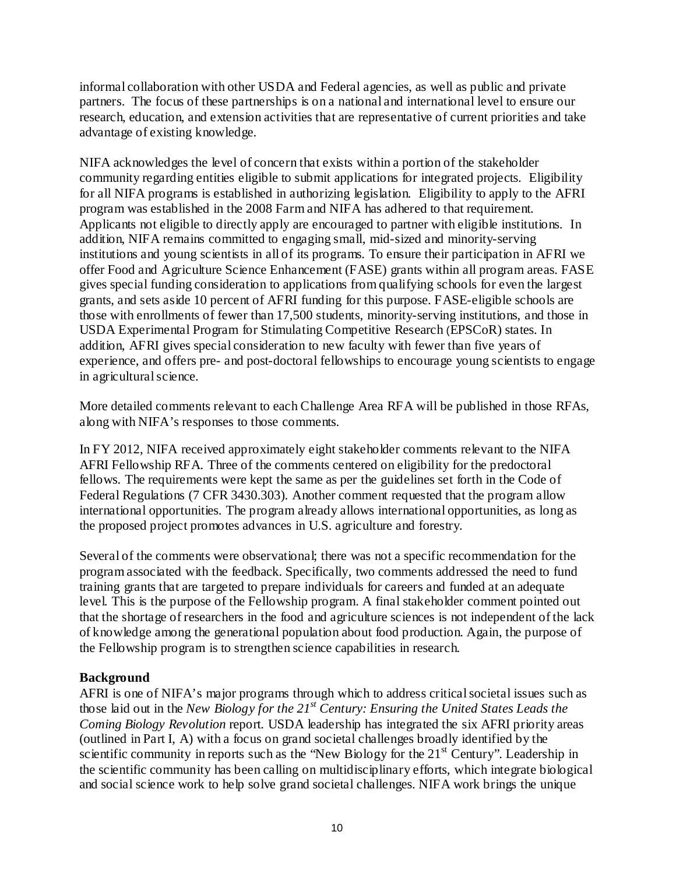informal collaboration with other USDA and Federal agencies, as well as public and private partners. The focus of these partnerships is on a national and international level to ensure our research, education, and extension activities that are representative of current priorities and take advantage of existing knowledge.

NIFA acknowledges the level of concern that exists within a portion of the stakeholder community regarding entities eligible to submit applications for integrated projects. Eligibility for all NIFA programs is established in authorizing legislation. Eligibility to apply to the AFRI program was established in the 2008 Farm and NIFA has adhered to that requirement. Applicants not eligible to directly apply are encouraged to partner with eligible institutions. In addition, NIFA remains committed to engaging small, mid-sized and minority-serving institutions and young scientists in all of its programs. To ensure their participation in AFRI we offer Food and Agriculture Science Enhancement (FASE) grants within all program areas. FASE gives special funding consideration to applications from qualifying schools for even the largest grants, and sets aside 10 percent of AFRI funding for this purpose. FASE-eligible schools are those with enrollments of fewer than 17,500 students, minority-serving institutions, and those in USDA Experimental Program for Stimulating Competitive Research (EPSCoR) states. In addition, AFRI gives special consideration to new faculty with fewer than five years of experience, and offers pre- and post-doctoral fellowships to encourage young scientists to engage in agricultural science.

More detailed comments relevant to each Challenge Area RFA will be published in those RFAs, along with NIFA's responses to those comments.

In FY 2012, NIFA received approximately eight stakeholder comments relevant to the NIFA AFRI Fellowship RFA. Three of the comments centered on eligibility for the predoctoral fellows. The requirements were kept the same as per the guidelines set forth in the Code of Federal Regulations (7 CFR 3430.303). Another comment requested that the program allow international opportunities. The program already allows international opportunities, as long as the proposed project promotes advances in U.S. agriculture and forestry.

Several of the comments were observational; there was not a specific recommendation for the program associated with the feedback. Specifically, two comments addressed the need to fund training grants that are targeted to prepare individuals for careers and funded at an adequate level. This is the purpose of the Fellowship program. A final stakeholder comment pointed out that the shortage of researchers in the food and agriculture sciences is not independent of the lack of knowledge among the generational population about food production. Again, the purpose of the Fellowship program is to strengthen science capabilities in research.

## **Background**

AFRI is one of NIFA's major programs through which to address critical societal issues such as those laid out in the *New Biology for the 21st Century: Ensuring the United States Leads the Coming Biology Revolution* report. USDA leadership has integrated the six AFRI priority areas (outlined in Part I, A) with a focus on grand societal challenges broadly identified by the scientific community in reports such as the "New Biology for the 21<sup>st</sup> Century". Leadership in the scientific community has been calling on multidisciplinary efforts, which integrate biological and social science work to help solve grand societal challenges. NIFA work brings the unique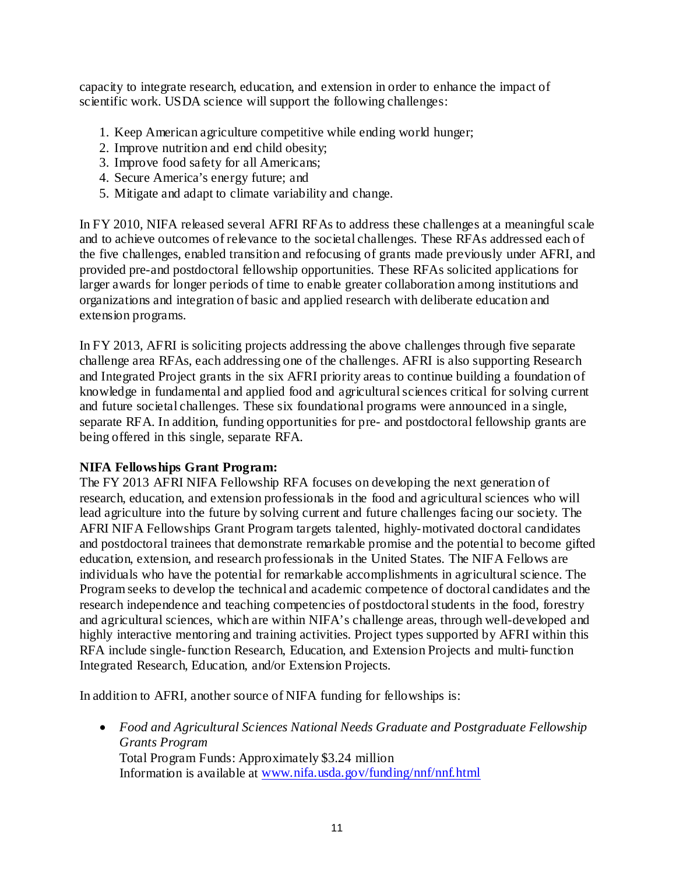capacity to integrate research, education, and extension in order to enhance the impact of scientific work. USDA science will support the following challenges:

- 1. Keep American agriculture competitive while ending world hunger;
- 2. Improve nutrition and end child obesity;
- 3. Improve food safety for all Americans;
- 4. Secure America's energy future; and
- 5. Mitigate and adapt to climate variability and change.

In FY 2010, NIFA released several AFRI RFAs to address these challenges at a meaningful scale and to achieve outcomes of relevance to the societal challenges. These RFAs addressed each of the five challenges, enabled transition and refocusing of grants made previously under AFRI, and provided pre-and postdoctoral fellowship opportunities. These RFAs solicited applications for larger awards for longer periods of time to enable greater collaboration among institutions and organizations and integration of basic and applied research with deliberate education and extension programs.

In FY 2013, AFRI is soliciting projects addressing the above challenges through five separate challenge area RFAs, each addressing one of the challenges. AFRI is also supporting Research and Integrated Project grants in the six AFRI priority areas to continue building a foundation of knowledge in fundamental and applied food and agricultural sciences critical for solving current and future societal challenges. These six foundational programs were announced in a single, separate RFA. In addition, funding opportunities for pre- and postdoctoral fellowship grants are being offered in this single, separate RFA.

#### **NIFA Fellowships Grant Program:**

The FY 2013 AFRI NIFA Fellowship RFA focuses on developing the next generation of research, education, and extension professionals in the food and agricultural sciences who will lead agriculture into the future by solving current and future challenges facing our society. The AFRI NIFA Fellowships Grant Program targets talented, highly-motivated doctoral candidates and postdoctoral trainees that demonstrate remarkable promise and the potential to become gifted education, extension, and research professionals in the United States. The NIFA Fellows are individuals who have the potential for remarkable accomplishments in agricultural science. The Program seeks to develop the technical and academic competence of doctoral candidates and the research independence and teaching competencies of postdoctoral students in the food, forestry and agricultural sciences, which are within NIFA's challenge areas, through well-developed and highly interactive mentoring and training activities. Project types supported by AFRI within this RFA include single-function Research, Education, and Extension Projects and multi-function Integrated Research, Education, and/or Extension Projects.

In addition to AFRI, another source of NIFA funding for fellowships is:

• *Food and Agricultural Sciences National Needs Graduate and Postgraduate Fellowship Grants Program* Total Program Funds: Approximately \$3.24 million Information is available at [www.nifa.usda.gov/funding/nnf/nnf.html](http://www.nifa.usda.gov/funding/nnf/nnf.html)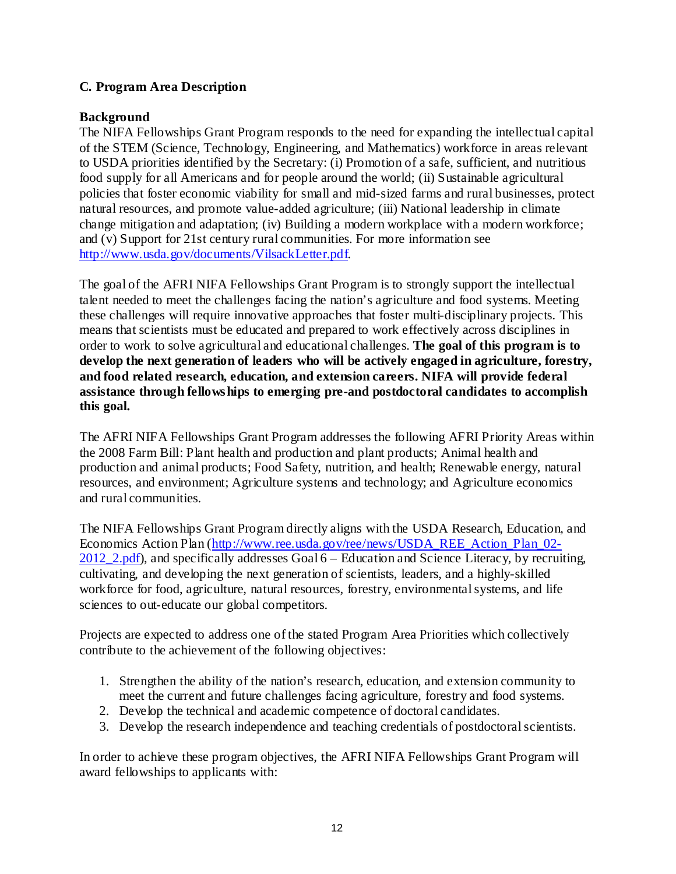## <span id="page-16-0"></span>**C. Program Area Description**

#### **Background**

The NIFA Fellowships Grant Program responds to the need for expanding the intellectual capital of the STEM (Science, Technology, Engineering, and Mathematics) workforce in areas relevant to USDA priorities identified by the Secretary: (i) Promotion of a safe, sufficient, and nutritious food supply for all Americans and for people around the world; (ii) Sustainable agricultural policies that foster economic viability for small and mid-sized farms and rural businesses, protect natural resources, and promote value-added agriculture; (iii) National leadership in climate change mitigation and adaptation; (iv) Building a modern workplace with a modern workforce; and (v) Support for 21st century rural communities. For more information see [http://www.usda.gov/documents/VilsackLetter.pdf.](http://www.usda.gov/documents/VilsackLetter.pdf)

The goal of the AFRI NIFA Fellowships Grant Program is to strongly support the intellectual talent needed to meet the challenges facing the nation's agriculture and food systems. Meeting these challenges will require innovative approaches that foster multi-disciplinary projects. This means that scientists must be educated and prepared to work effectively across disciplines in order to work to solve agricultural and educational challenges. **The goal of this program is to develop the next generation of leaders who will be actively engaged in agriculture, forestry, and food related research, education, and extension careers. NIFA will provide federal assistance through fellowships to emerging pre-and postdoctoral candidates to accomplish this goal.**

The AFRI NIFA Fellowships Grant Program addresses the following AFRI Priority Areas within the 2008 Farm Bill: Plant health and production and plant products; Animal health and production and animal products; Food Safety, nutrition, and health; Renewable energy, natural resources, and environment; Agriculture systems and technology; and Agriculture economics and rural communities.

The NIFA Fellowships Grant Program directly aligns with the USDA Research, Education, and Economics Action Plan [\(http://www.ree.usda.gov/ree/news/USDA\\_REE\\_Action\\_Plan\\_02-](http://www.ree.usda.gov/ree/news/USDA_REE_Action_Plan_02-2012_2.pdf) 2012 2.pdf), and specifically addresses Goal 6 – Education and Science Literacy, by recruiting, cultivating, and developing the next generation of scientists, leaders, and a highly-skilled workforce for food, agriculture, natural resources, forestry, environmental systems, and life sciences to out-educate our global competitors.

Projects are expected to address one of the stated Program Area Priorities which collectively contribute to the achievement of the following objectives:

- 1. Strengthen the ability of the nation's research, education, and extension community to meet the current and future challenges facing agriculture, forestry and food systems.
- 2. Develop the technical and academic competence of doctoral candidates.
- 3. Develop the research independence and teaching credentials of postdoctoral scientists.

In order to achieve these program objectives, the AFRI NIFA Fellowships Grant Program will award fellowships to applicants with: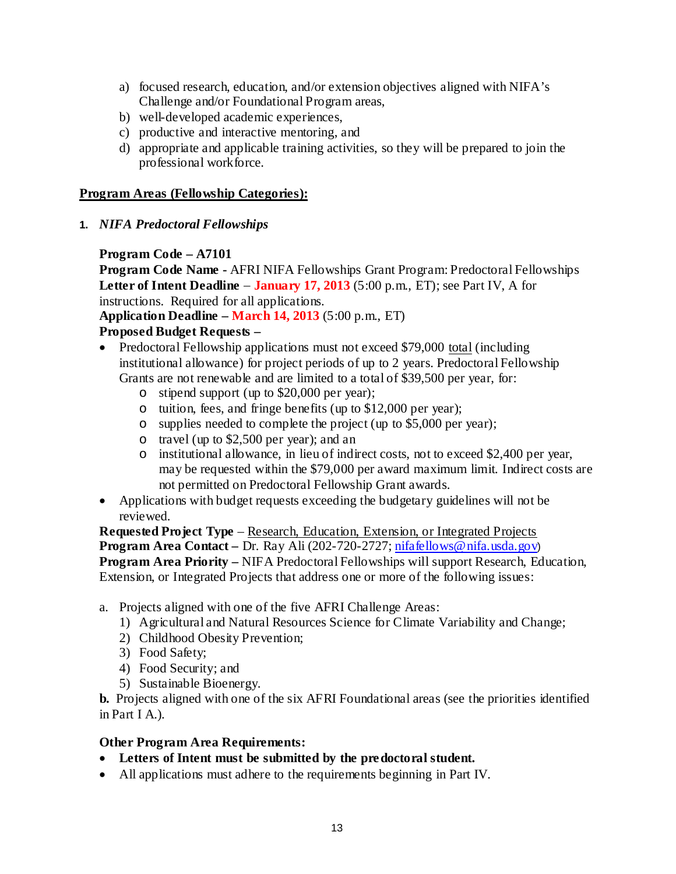- a) focused research, education, and/or extension objectives aligned with NIFA's Challenge and/or Foundational Program areas,
- b) well-developed academic experiences,
- c) productive and interactive mentoring, and
- d) appropriate and applicable training activities, so they will be prepared to join the professional workforce.

#### **Program Areas (Fellowship Categories):**

**1.** *NIFA Predoctoral Fellowships*

## **Program Code – A7101**

**Program Code Name -** AFRI NIFA Fellowships Grant Program: Predoctoral Fellowships **Letter of Intent Deadline** − **January 17, 2013** (5:00 p.m., ET); see Part IV, A for instructions. Required for all applications.

**Application Deadline – March 14, 2013** (5:00 p.m., ET)

## **Proposed Budget Requests –**

- Predoctoral Fellowship applications must not exceed \$79,000 total (including institutional allowance) for project periods of up to 2 years. Predoctoral Fellowship Grants are not renewable and are limited to a total of \$39,500 per year, for:
	- o stipend support (up to \$20,000 per year);
	- o tuition, fees, and fringe benefits (up to \$12,000 per year);
	- o supplies needed to complete the project (up to \$5,000 per year);
	- o travel (up to \$2,500 per year); and an
	- o institutional allowance, in lieu of indirect costs, not to exceed \$2,400 per year, may be requested within the \$79,000 per award maximum limit. Indirect costs are not permitted on Predoctoral Fellowship Grant awards.
- Applications with budget requests exceeding the budgetary guidelines will not be reviewed.

**Requested Project Type** – Research, Education, Extension, or Integrated Projects **Program Area Contact** – Dr. Ray Ali (202-720-2727[; nifafellows@nifa.usda.gov](mailto:nifafellows@nifa.usda.gov)) **Program Area Priority –** NIFA Predoctoral Fellowships will support Research, Education, Extension, or Integrated Projects that address one or more of the following issues:

- a. Projects aligned with one of the five AFRI Challenge Areas:
	- 1) Agricultural and Natural Resources Science for Climate Variability and Change;
	- 2) Childhood Obesity Prevention;
	- 3) Food Safety;
	- 4) Food Security; and
	- 5) Sustainable Bioenergy.

**b.** Projects aligned with one of the six AFRI Foundational areas (see the priorities identified in Part I A.).

#### **Other Program Area Requirements:**

- **Letters of Intent must be submitted by the predoctoral student.**
- All applications must adhere to the requirements beginning in Part IV.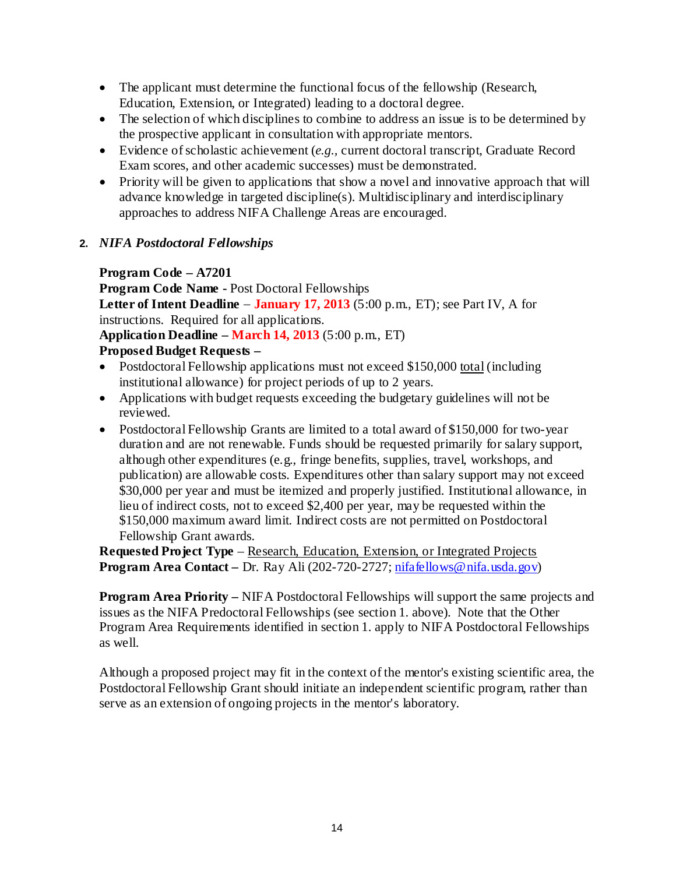- The applicant must determine the functional focus of the fellowship (Research, Education, Extension, or Integrated) leading to a doctoral degree.
- The selection of which disciplines to combine to address an issue is to be determined by the prospective applicant in consultation with appropriate mentors.
- Evidence of scholastic achievement (*e.g.,* current doctoral transcript, Graduate Record Exam scores, and other academic successes) must be demonstrated.
- Priority will be given to applications that show a novel and innovative approach that will advance knowledge in targeted discipline(s). Multidisciplinary and interdisciplinary approaches to address NIFA Challenge Areas are encouraged.
- **2.** *NIFA Postdoctoral Fellowships*

## **Program Code – A7201**

**Program Code Name -** Post Doctoral Fellowships **Letter of Intent Deadline** − **January 17, 2013** (5:00 p.m., ET); see Part IV, A for instructions. Required for all applications.

**Application Deadline – March 14, 2013** (5:00 p.m., ET)

## **Proposed Budget Requests –**

- Postdoctoral Fellowship applications must not exceed \$150,000 total (including institutional allowance) for project periods of up to 2 years.
- Applications with budget requests exceeding the budgetary guidelines will not be reviewed.
- Postdoctoral Fellowship Grants are limited to a total award of \$150,000 for two-year duration and are not renewable. Funds should be requested primarily for salary support, although other expenditures (e.g., fringe benefits, supplies, travel, workshops, and publication) are allowable costs. Expenditures other than salary support may not exceed \$30,000 per year and must be itemized and properly justified. Institutional allowance, in lieu of indirect costs, not to exceed \$2,400 per year, may be requested within the \$150,000 maximum award limit. Indirect costs are not permitted on Postdoctoral Fellowship Grant awards.

**Requested Project Type** – Research, Education, Extension, or Integrated Projects **Program Area Contact** – Dr. Ray Ali (202-720-2727[; nifafellows@nifa.usda.gov\)](mailto:nifafellows@nifa.usda.gov)

**Program Area Priority –** NIFA Postdoctoral Fellowships will support the same projects and issues as the NIFA Predoctoral Fellowships (see section 1. above). Note that the Other Program Area Requirements identified in section 1. apply to NIFA Postdoctoral Fellowships as well.

Although a proposed project may fit in the context of the mentor's existing scientific area, the Postdoctoral Fellowship Grant should initiate an independent scientific program, rather than serve as an extension of ongoing projects in the mentor's laboratory.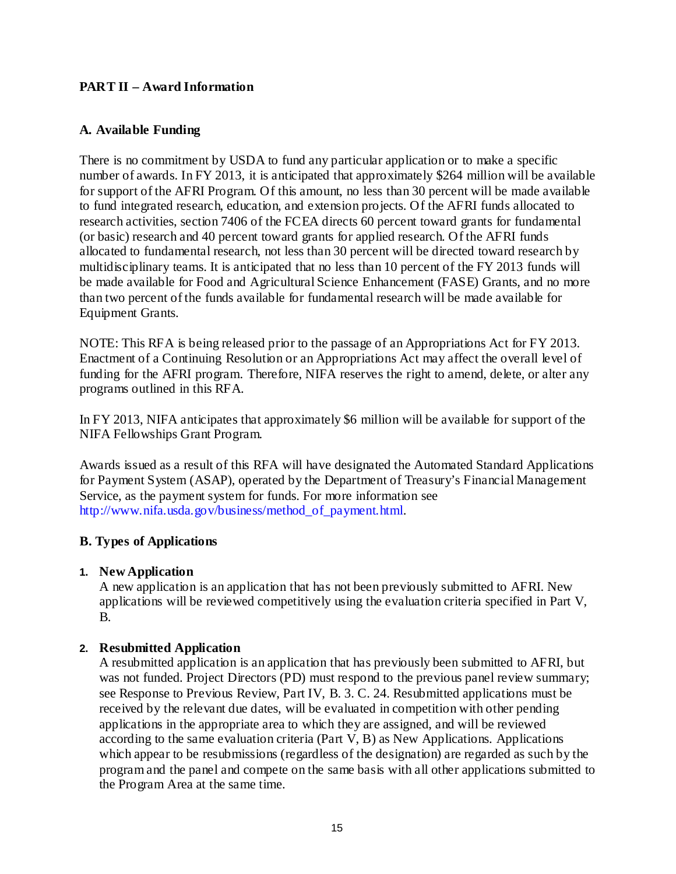## <span id="page-19-0"></span>**PART II – Award Information**

#### <span id="page-19-1"></span>**A. Available Funding**

There is no commitment by USDA to fund any particular application or to make a specific number of awards. In FY 2013, it is anticipated that approximately \$264 million will be available for support of the AFRI Program. Of this amount, no less than 30 percent will be made available to fund integrated research, education, and extension projects. Of the AFRI funds allocated to research activities, section 7406 of the FCEA directs 60 percent toward grants for fundamental (or basic) research and 40 percent toward grants for applied research. Of the AFRI funds allocated to fundamental research, not less than 30 percent will be directed toward research by multidisciplinary teams. It is anticipated that no less than 10 percent of the FY 2013 funds will be made available for Food and Agricultural Science Enhancement (FASE) Grants, and no more than two percent of the funds available for fundamental research will be made available for Equipment Grants.

NOTE: This RFA is being released prior to the passage of an Appropriations Act for FY 2013. Enactment of a Continuing Resolution or an Appropriations Act may affect the overall level of funding for the AFRI program. Therefore, NIFA reserves the right to amend, delete, or alter any programs outlined in this RFA.

In FY 2013, NIFA anticipates that approximately \$6 million will be available for support of the NIFA Fellowships Grant Program.

Awards issued as a result of this RFA will have designated the Automated Standard Applications for Payment System (ASAP), operated by the Department of Treasury's Financial Management Service, as the payment system for funds. For more information see [http://www.nifa.usda.gov/business/method\\_of\\_payment.html.](http://www.nifa.usda.gov/business/method_of_payment.html)

## <span id="page-19-2"></span>**B. Types of Applications**

#### **1. New Application**

A new application is an application that has not been previously submitted to AFRI. New applications will be reviewed competitively using the evaluation criteria specified in Part V, B.

## **2. Resubmitted Application**

A resubmitted application is an application that has previously been submitted to AFRI, but was not funded. Project Directors (PD) must respond to the previous panel review summary; see Response to Previous Review, Part IV, B. 3. C. [24.](#page-28-0) Resubmitted applications must be received by the relevant due dates, will be evaluated in competition with other pending applications in the appropriate area to which they are assigned, and will be reviewed according to the same evaluation criteria (Part V, B) as New Applications. Applications which appear to be resubmissions (regardless of the designation) are regarded as such by the program and the panel and compete on the same basis with all other applications submitted to the Program Area at the same time.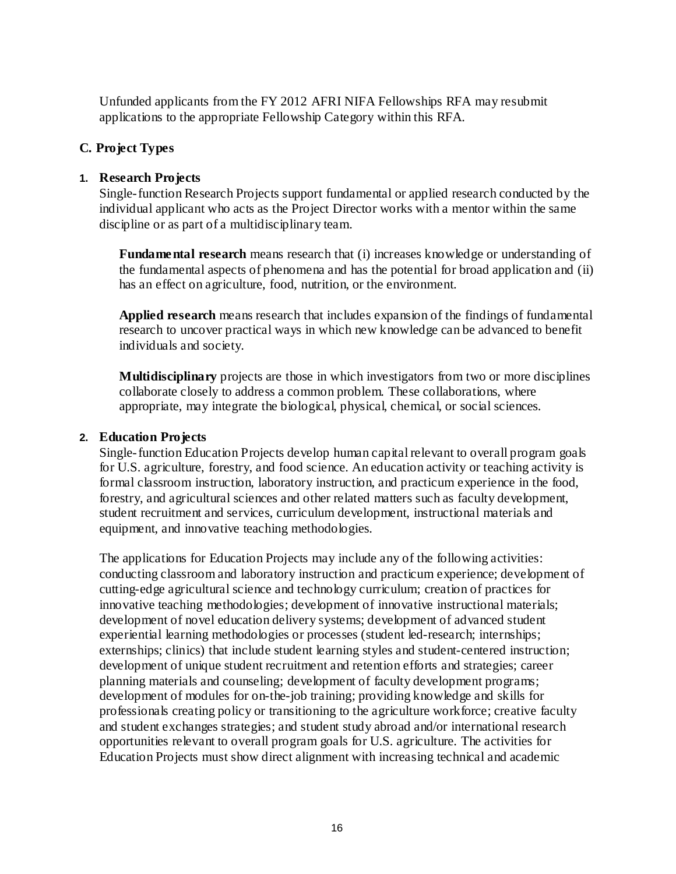Unfunded applicants from the FY 2012 AFRI NIFA Fellowships RFA may resubmit applications to the appropriate Fellowship Category within this RFA.

## <span id="page-20-0"></span>**C. Project Types**

## **1. Research Projects**

Single-function Research Projects support fundamental or applied research conducted by the individual applicant who acts as the Project Director works with a mentor within the same discipline or as part of a multidisciplinary team.

**Fundamental research** means research that (i) increases knowledge or understanding of the fundamental aspects of phenomena and has the potential for broad application and (ii) has an effect on agriculture, food, nutrition, or the environment.

**Applied research** means research that includes expansion of the findings of fundamental research to uncover practical ways in which new knowledge can be advanced to benefit individuals and society.

**Multidisciplinary** projects are those in which investigators from two or more disciplines collaborate closely to address a common problem. These collaborations, where appropriate, may integrate the biological, physical, chemical, or social sciences.

## **2. Education Projects**

Single-function Education Projects develop human capital relevant to overall program goals for U.S. agriculture, forestry, and food science. An education activity or teaching activity is formal classroom instruction, laboratory instruction, and practicum experience in the food, forestry, and agricultural sciences and other related matters such as faculty development, student recruitment and services, curriculum development, instructional materials and equipment, and innovative teaching methodologies.

The applications for Education Projects may include any of the following activities: conducting classroom and laboratory instruction and practicum experience; development of cutting-edge agricultural science and technology curriculum; creation of practices for innovative teaching methodologies; development of innovative instructional materials; development of novel education delivery systems; development of advanced student experiential learning methodologies or processes (student led-research; internships; externships; clinics) that include student learning styles and student-centered instruction; development of unique student recruitment and retention efforts and strategies; career planning materials and counseling; development of faculty development programs; development of modules for on-the-job training; providing knowledge and skills for professionals creating policy or transitioning to the agriculture workforce; creative faculty and student exchanges strategies; and student study abroad and/or international research opportunities relevant to overall program goals for U.S. agriculture. The activities for Education Projects must show direct alignment with increasing technical and academic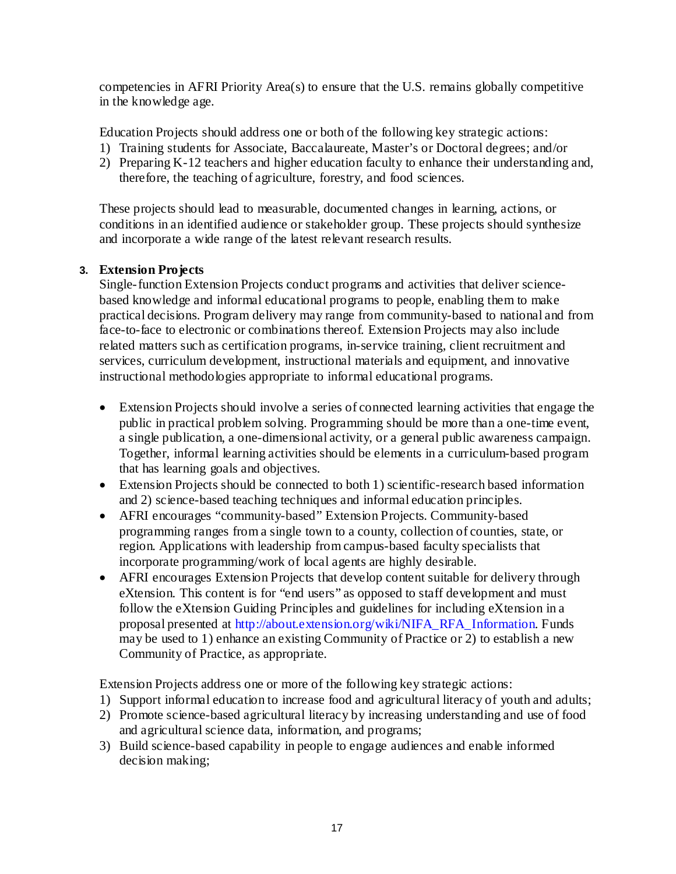competencies in AFRI Priority Area(s) to ensure that the U.S. remains globally competitive in the knowledge age.

Education Projects should address one or both of the following key strategic actions:

- 1) Training students for Associate, Baccalaureate, Master's or Doctoral degrees; and/or
- 2) Preparing K-12 teachers and higher education faculty to enhance their understanding and, therefore, the teaching of agriculture, forestry, and food sciences.

These projects should lead to measurable, documented changes in learning, actions, or conditions in an identified audience or stakeholder group. These projects should synthesize and incorporate a wide range of the latest relevant research results.

## **3. Extension Projects**

Single-function Extension Projects conduct programs and activities that deliver sciencebased knowledge and informal educational programs to people, enabling them to make practical decisions. Program delivery may range from community-based to national and from face-to-face to electronic or combinations thereof. Extension Projects may also include related matters such as certification programs, in-service training, client recruitment and services, curriculum development, instructional materials and equipment, and innovative instructional methodologies appropriate to informal educational programs.

- Extension Projects should involve a series of connected learning activities that engage the public in practical problem solving. Programming should be more than a one-time event, a single publication, a one-dimensional activity, or a general public awareness campaign. Together, informal learning activities should be elements in a curriculum-based program that has learning goals and objectives.
- Extension Projects should be connected to both 1) scientific-research based information and 2) science-based teaching techniques and informal education principles.
- AFRI encourages "community-based" Extension Projects. Community-based programming ranges from a single town to a county, collection of counties, state, or region. Applications with leadership from campus-based faculty specialists that incorporate programming/work of local agents are highly desirable.
- AFRI encourages Extension Projects that develop content suitable for delivery through eXtension. This content is for "end users" as opposed to staff development and must follow the eXtension Guiding Principles and guidelines for including eXtension in a proposal presented at [http://about.extension.org/wiki/NIFA\\_RFA\\_Information.](http://about.extension.org/wiki/NIFA_RFA_Information) Funds may be used to 1) enhance an existing Community of Practice or 2) to establish a new Community of Practice, as appropriate.

Extension Projects address one or more of the following key strategic actions:

- 1) Support informal education to increase food and agricultural literacy of youth and adults;
- 2) Promote science-based agricultural literacy by increasing understanding and use of food and agricultural science data, information, and programs;
- 3) Build science-based capability in people to engage audiences and enable informed decision making;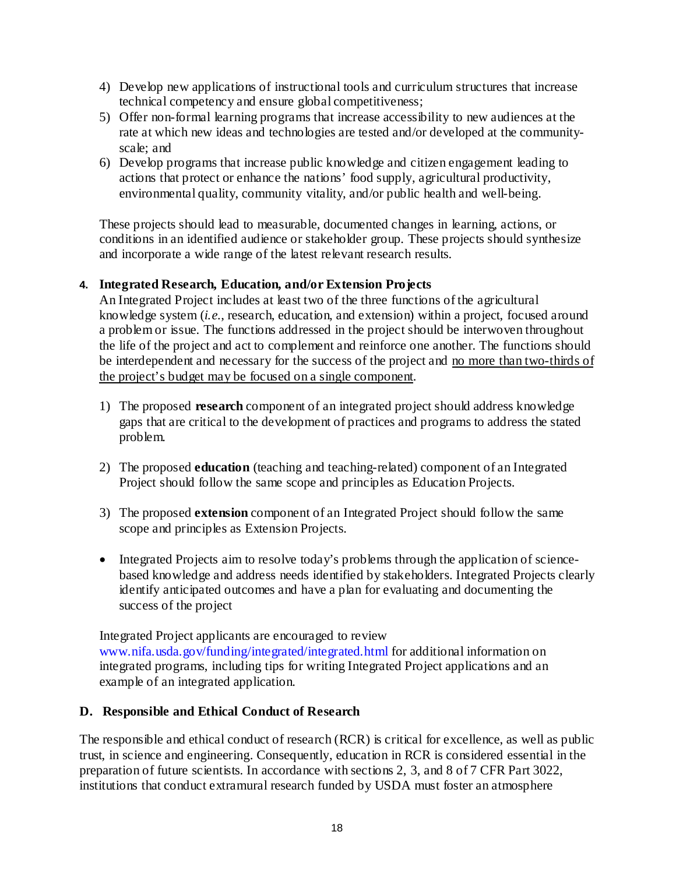- 4) Develop new applications of instructional tools and curriculum structures that increase technical competency and ensure global competitiveness;
- 5) Offer non-formal learning programs that increase accessibility to new audiences at the rate at which new ideas and technologies are tested and/or developed at the communityscale; and
- 6) Develop programs that increase public knowledge and citizen engagement leading to actions that protect or enhance the nations' food supply, agricultural productivity, environmental quality, community vitality, and/or public health and well-being.

These projects should lead to measurable, documented changes in learning, actions, or conditions in an identified audience or stakeholder group. These projects should synthesize and incorporate a wide range of the latest relevant research results.

## **4. Integrated Research, Education, and/or Extension Projects**

An Integrated Project includes at least two of the three functions of the agricultural knowledge system (*i.e.*, research, education, and extension) within a project, focused around a problem or issue. The functions addressed in the project should be interwoven throughout the life of the project and act to complement and reinforce one another. The functions should be interdependent and necessary for the success of the project and no more than two-thirds of the project's budget may be focused on a single component.

- 1) The proposed **research** component of an integrated project should address knowledge gaps that are critical to the development of practices and programs to address the stated problem.
- 2) The proposed **education** (teaching and teaching-related) component of an Integrated Project should follow the same scope and principles as Education Projects.
- 3) The proposed **extension** component of an Integrated Project should follow the same scope and principles as Extension Projects.
- Integrated Projects aim to resolve today's problems through the application of sciencebased knowledge and address needs identified by stakeholders. Integrated Projects clearly identify anticipated outcomes and have a plan for evaluating and documenting the success of the project

Integrated Project applicants are encouraged to review [www.nifa.usda.gov/funding/integrated/integrated.html](http://www.nifa.usda.gov/funding/integrated/integrated.html) for additional information on integrated programs, including tips for writing Integrated Project applications and an example of an integrated application.

## <span id="page-22-0"></span>**D. Responsible and Ethical Conduct of Research**

The responsible and ethical conduct of research (RCR) is critical for excellence, as well as public trust, in science and engineering. Consequently, education in RCR is considered essential in the preparation of future scientists. In accordance with sections 2, 3, and 8 of 7 CFR Part 3022, institutions that conduct extramural research funded by USDA must foster an atmosphere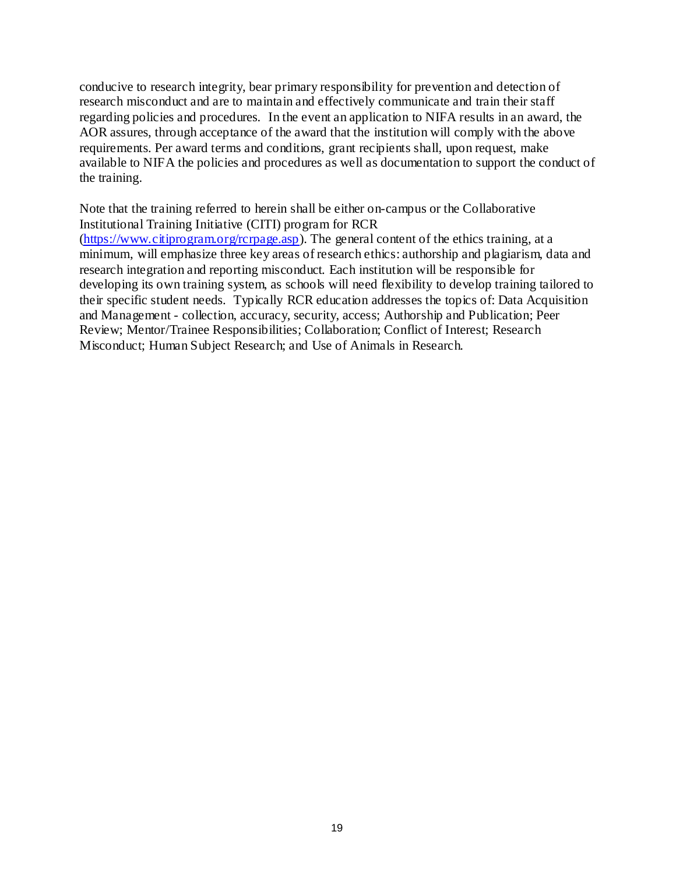conducive to research integrity, bear primary responsibility for prevention and detection of research misconduct and are to maintain and effectively communicate and train their staff regarding policies and procedures. In the event an application to NIFA results in an award, the AOR assures, through acceptance of the award that the institution will comply with the above requirements. Per award terms and conditions, grant recipients shall, upon request, make available to NIFA the policies and procedures as well as documentation to support the conduct of the training.

Note that the training referred to herein shall be either on-campus or the Collaborative Institutional Training Initiative (CITI) program for RCR [\(https://www.citiprogram.org/rcrpage.asp\)](https://www.citiprogram.org/rcrpage.asp). The general content of the ethics training, at a minimum, will emphasize three key areas of research ethics: authorship and plagiarism, data and research integration and reporting misconduct. Each institution will be responsible for developing its own training system, as schools will need flexibility to develop training tailored to their specific student needs. Typically RCR education addresses the topics of: Data Acquisition and Management - collection, accuracy, security, access; Authorship and Publication; Peer Review; Mentor/Trainee Responsibilities; Collaboration; Conflict of Interest; Research Misconduct; Human Subject Research; and Use of Animals in Research.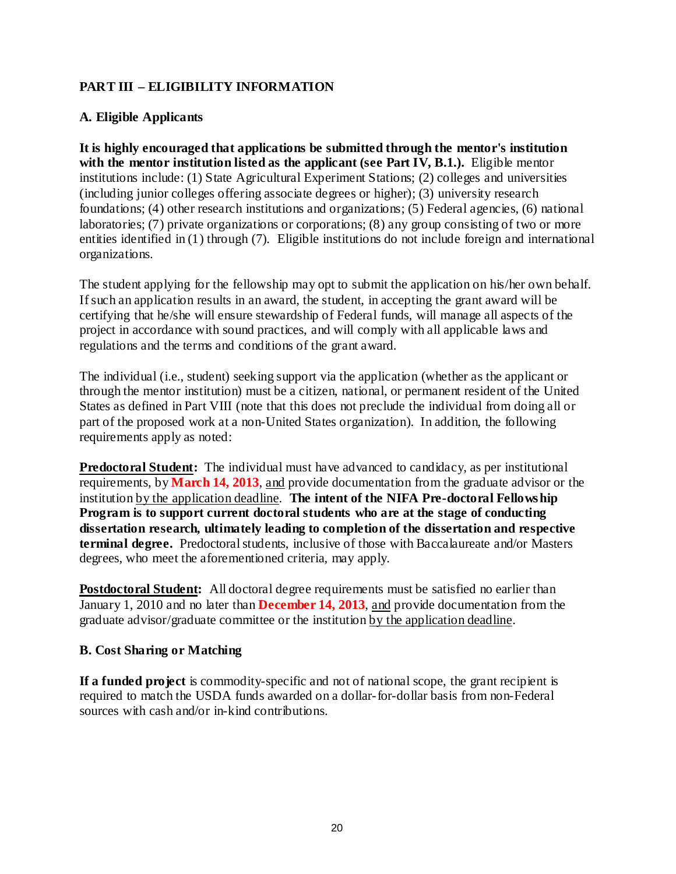## <span id="page-24-0"></span>**PART III – ELIGIBILITY INFORMATION**

## <span id="page-24-1"></span>**A. Eligible Applicants**

**It is highly encouraged that applications be submitted through the mentor's institution** with the mentor institution listed as the applicant (see Part IV, B.1.). Eligible mentor institutions include: (1) State Agricultural Experiment Stations; (2) colleges and universities (including junior colleges offering associate degrees or higher); (3) university research foundations; (4) other research institutions and organizations; (5) Federal agencies, (6) national laboratories; (7) private organizations or corporations; (8) any group consisting of two or more entities identified in (1) through (7). Eligible institutions do not include foreign and international organizations.

The student applying for the fellowship may opt to submit the application on his/her own behalf. If such an application results in an award, the student, in accepting the grant award will be certifying that he/she will ensure stewardship of Federal funds, will manage all aspects of the project in accordance with sound practices, and will comply with all applicable laws and regulations and the terms and conditions of the grant award.

The individual (i.e., student) seeking support via the application (whether as the applicant or through the mentor institution) must be a citizen, national, or permanent resident of the United States as defined in Part VIII (note that this does not preclude the individual from doing all or part of the proposed work at a non-United States organization). In addition, the following requirements apply as noted:

**Predoctoral Student:** The individual must have advanced to candidacy, as per institutional requirements, by **March 14, 2013**, and provide documentation from the graduate advisor or the institution by the application deadline. **The intent of the NIFA Pre-doctoral Fellowship Program is to support current doctoral students who are at the stage of conducting dissertation research, ultimately leading to completion of the dissertation and respective terminal degree.** Predoctoral students, inclusive of those with Baccalaureate and/or Masters degrees, who meet the aforementioned criteria, may apply.

**Postdoctoral Student:** All doctoral degree requirements must be satisfied no earlier than January 1, 2010 and no later than **December 14, 2013**, and provide documentation from the graduate advisor/graduate committee or the institution by the application deadline.

## <span id="page-24-2"></span>**B. Cost Sharing or Matching**

**If a funded project** is commodity-specific and not of national scope, the grant recipient is required to match the USDA funds awarded on a dollar-for-dollar basis from non-Federal sources with cash and/or in-kind contributions.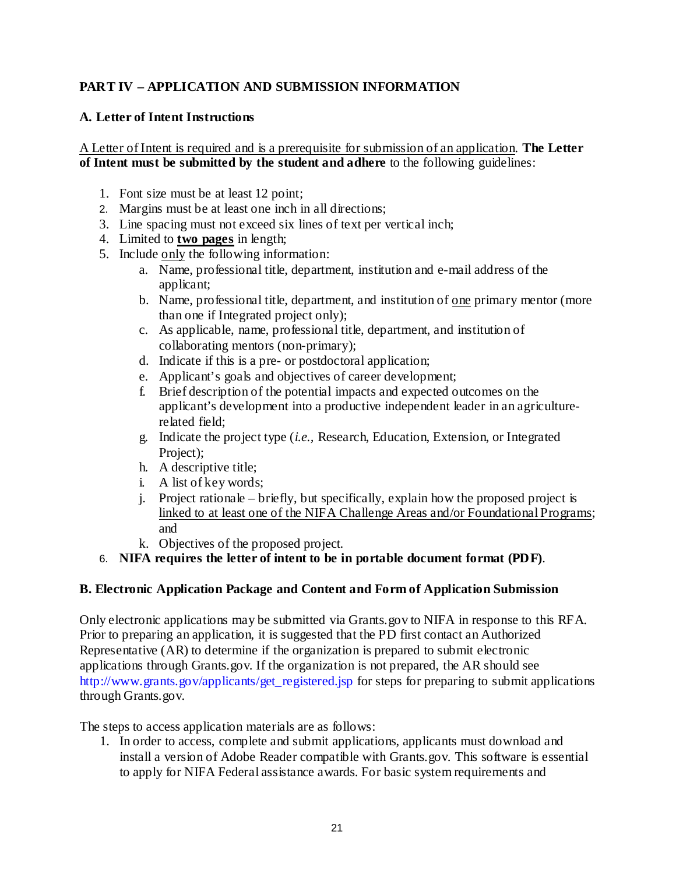## <span id="page-25-0"></span>**PART IV – APPLICATION AND SUBMISSION INFORMATION**

## <span id="page-25-1"></span>**A. Letter of Intent Instructions**

A Letter of Intent is required and is a prerequisite for submission of an application. **The Letter of Intent must be submitted by the student and adhere** to the following guidelines:

- 1. Font size must be at least 12 point;
- 2. Margins must be at least one inch in all directions;
- 3. Line spacing must not exceed six lines of text per vertical inch;
- 4. Limited to **two pages** in length;
- 5. Include only the following information:
	- a. Name, professional title, department, institution and e-mail address of the applicant;
	- b. Name, professional title, department, and institution of <u>one</u> primary mentor (more than one if Integrated project only);
	- c. As applicable, name, professional title, department, and institution of collaborating mentors (non-primary);
	- d. Indicate if this is a pre- or postdoctoral application;
	- e. Applicant's goals and objectives of career development;
	- f. Brief description of the potential impacts and expected outcomes on the applicant's development into a productive independent leader in an agriculturerelated field;
	- g. Indicate the project type (*i.e.,* Research, Education, Extension, or Integrated Project);
	- h. A descriptive title;
	- i. A list of key words;
	- j. Project rationale briefly, but specifically, explain how the proposed project is linked to at least one of the NIFA Challenge Areas and/or Foundational Programs; and
	- k. Objectives of the proposed project.

#### 6. **NIFA requires the letter of intent to be in portable document format (PDF)**.

#### <span id="page-25-2"></span>**B. Electronic Application Package and Content and Form of Application Submission**

Only electronic applications may be submitted via Grants.gov to NIFA in response to this RFA. Prior to preparing an application, it is suggested that the PD first contact an Authorized Representative (AR) to determine if the organization is prepared to submit electronic applications through Grants.gov. If the organization is not prepared, the AR should see [http://www.grants.gov/applicants/get\\_registered.jsp](http://www.grants.gov/applicants/get_registered.jsp) for steps for preparing to submit applications through Grants.gov.

The steps to access application materials are as follows:

1. In order to access, complete and submit applications, applicants must download and install a version of Adobe Reader compatible with Grants.gov. This software is essential to apply for NIFA Federal assistance awards. For basic system requirements and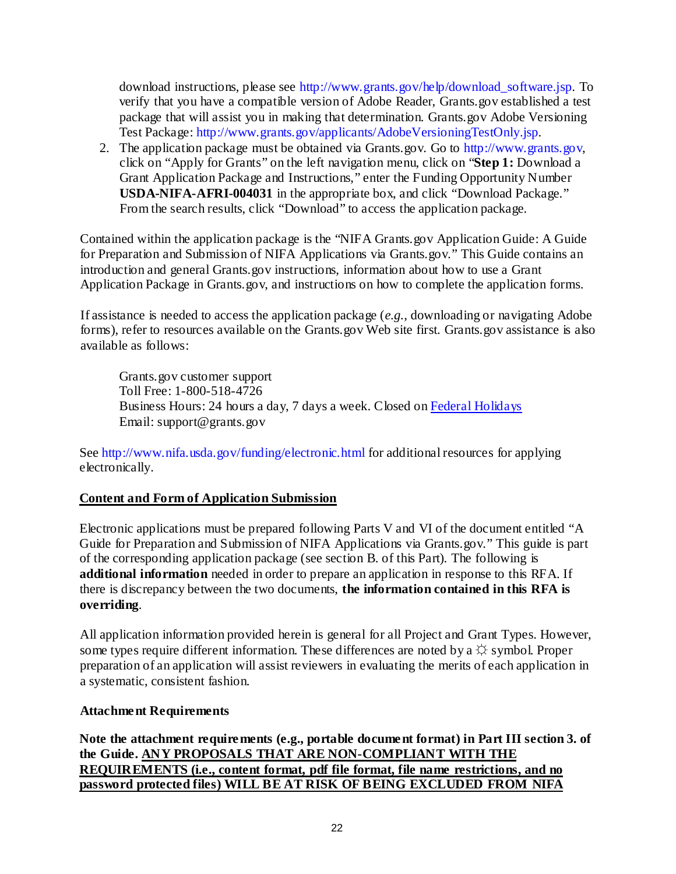download instructions, please see [http://www.grants.gov/help/download\\_software.jsp.](http://www.grants.gov/help/download_software.jsp) To verify that you have a compatible version of Adobe Reader, Grants.gov established a test package that will assist you in making that determination. Grants.gov Adobe Versioning Test Package: [http://www.grants.gov/applicants/AdobeVersioningTestOnly.jsp.](http://www.grants.gov/applicants/AdobeVersioningTestOnly.jsp)

2. The application package must be obtained via Grants.gov. Go to [http://www.grants.gov,](http://www.grants.gov/) click on "Apply for Grants" on the left navigation menu, click on "**Step 1:** Download a Grant Application Package and Instructions," enter the Funding Opportunity Number **USDA-NIFA-AFRI-004031** in the appropriate box, and click "Download Package." From the search results, click "Download" to access the application package.

Contained within the application package is the "NIFA Grants.gov Application Guide: A Guide for Preparation and Submission of NIFA Applications via Grants.gov." This Guide contains an introduction and general Grants.gov instructions, information about how to use a Grant Application Package in Grants.gov, and instructions on how to complete the application forms.

If assistance is needed to access the application package (*e.g.*, downloading or navigating Adobe forms), refer to resources available on the Grants.gov Web site first. Grants.gov assistance is also available as follows:

Grants.gov customer support Toll Free: 1-800-518-4726 Business Hours: 24 hours a day, 7 days a week. Closed on [Federal Holidays](http://www.grants.gov/aboutgrants/federal_holidays.jsp) Email: support@grants.gov

See [http://www.nifa.usda.gov/funding/electronic.html](http://www.csrees.usda.gov/funding/electronic.html) for additional resources for applying electronically.

## **Content and Form of Application Submission**

Electronic applications must be prepared following Parts V and VI of the document entitled "A Guide for Preparation and Submission of NIFA Applications via Grants.gov." This guide is part of the corresponding application package (see section B. of this Part). The following is **additional information** needed in order to prepare an application in response to this RFA. If there is discrepancy between the two documents, **the information contained in this RFA is overriding**.

All application information provided herein is general for all Project and Grant Types. However, some types require different information. These differences are noted by a  $\hat{\varphi}$  symbol. Proper preparation of an application will assist reviewers in evaluating the merits of each application in a systematic, consistent fashion.

## **Attachment Requirements**

**Note the attachment requirements (e.g., portable document format) in Part III section 3. of the Guide. ANY PROPOSALS THAT ARE NON-COMPLIANT WITH THE REQUIREMENTS (i.e., content format, pdf file format, file name restrictions, and no password protected files) WILL BE AT RISK OF BEING EXCLUDED FROM NIFA**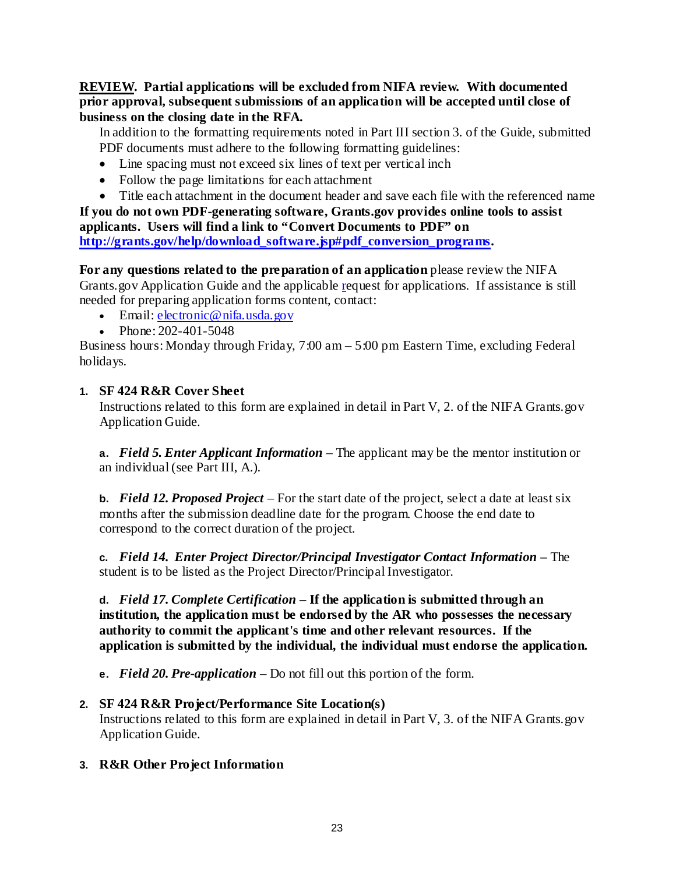**REVIEW. Partial applications will be excluded from NIFA review. With documented prior approval, subsequent submissions of an application will be accepted until close of business on the closing date in the RFA.**

In addition to the formatting requirements noted in Part III section 3. of the Guide, submitted PDF documents must adhere to the following formatting guidelines:

- Line spacing must not exceed six lines of text per vertical inch
- Follow the page limitations for each attachment
- Title each attachment in the document header and save each file with the referenced name

**If you do not own PDF-generating software, Grants.gov provides online tools to assist applicants. Users will find a link to "Convert Documents to PDF" on [http://grants.gov/help/download\\_software.jsp#pdf\\_conversion\\_programs.](http://grants.gov/help/download_software.jsp#pdf_conversion_programs)**

**For any questions related to the preparation of an application** please review the NIFA Grants.gov Application Guide and the applicable [re](http://www.csrees.usda.gov/fo/funding.cfm)quest for applications. If assistance is still needed for preparing application forms content, contact:

- Email: electronic@nifa.usda.gov
- Phone: 202-401-5048

Business hours: Monday through Friday, 7:00 am – 5:00 pm Eastern Time, excluding Federal holidays.

## **1. SF 424 R&R Cover Sheet**

Instructions related to this form are explained in detail in Part V, 2. of the NIFA Grants.gov Application Guide.

**a.** *Field 5. Enter Applicant Information* – The applicant may be the mentor institution or an individual(see Part III, A.).

**b.** *Field 12. Proposed Project* – For the start date of the project, select a date at least six months after the submission deadline date for the program. Choose the end date to correspond to the correct duration of the project.

**c.** *Field 14. Enter Project Director/Principal Investigator Contact Information –* The student is to be listed as the Project Director/Principal Investigator.

**d.** *Field 17. Complete Certification* – **If the application is submitted through an institution, the application must be endorsed by the AR who possesses the necessary authority to commit the applicant's time and other relevant resources. If the application is submitted by the individual, the individual must endorse the application.**

**e.** *Field 20. Pre-application* – Do not fill out this portion of the form.

## **2. SF 424 R&R Project/Performance Site Location(s)**

Instructions related to this form are explained in detail in Part V, 3. of the NIFA Grants.gov Application Guide.

## **3. R&R Other Project Information**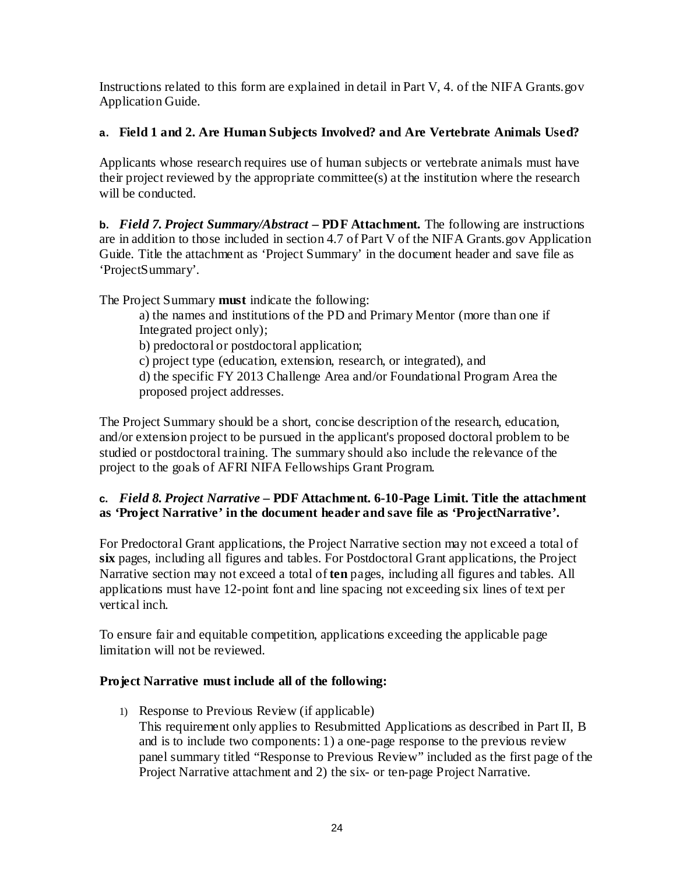Instructions related to this form are explained in detail in Part V, 4. of the NIFA Grants.gov Application Guide.

## **a. Field 1 and 2. Are Human Subjects Involved? and Are Vertebrate Animals Used?**

Applicants whose research requires use of human subjects or vertebrate animals must have their project reviewed by the appropriate committee(s) at the institution where the research will be conducted.

**b.** *Field 7. Project Summary/Abstract* **– PDF Attachment.** The following are instructions are in addition to those included in section 4.7 of Part V of the NIFA Grants.gov Application Guide. Title the attachment as 'Project Summary' in the document header and save file as 'ProjectSummary'.

The Project Summary **must** indicate the following:

a) the names and institutions of the PD and Primary Mentor (more than one if Integrated project only);

b) predoctoral or postdoctoral application;

c) project type (education, extension, research, or integrated), and

d) the specific FY 2013 Challenge Area and/or Foundational Program Area the proposed project addresses.

The Project Summary should be a short, concise description of the research, education, and/or extension project to be pursued in the applicant's proposed doctoral problem to be studied or postdoctoral training. The summary should also include the relevance of the project to the goals of AFRI NIFA Fellowships Grant Program.

## **c.** *Field 8. Project Narrative* **– PDF Attachment. 6-10-Page Limit. Title the attachment as 'Project Narrative' in the document header and save file as 'ProjectNarrative'.**

For Predoctoral Grant applications, the Project Narrative section may not exceed a total of **six** pages, including all figures and tables. For Postdoctoral Grant applications, the Project Narrative section may not exceed a total of **ten** pages, including all figures and tables. All applications must have 12-point font and line spacing not exceeding six lines of text per vertical inch.

To ensure fair and equitable competition, applications exceeding the applicable page limitation will not be reviewed.

## <span id="page-28-0"></span>**Project Narrative must include all of the following:**

1) Response to Previous Review (if applicable) This requirement only applies to Resubmitted Applications as described in Part II, B and is to include two components: 1) a one-page response to the previous review panel summary titled "Response to Previous Review" included as the first page of the Project Narrative attachment and 2) the six- or ten-page Project Narrative.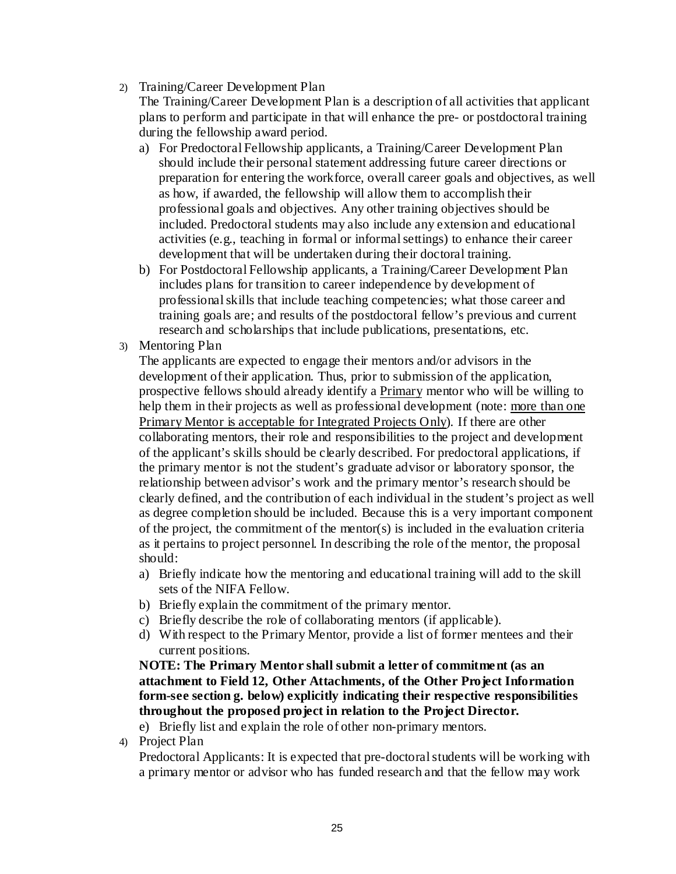2) Training/Career Development Plan

The Training/Career Development Plan is a description of all activities that applicant plans to perform and participate in that will enhance the pre- or postdoctoral training during the fellowship award period.

- a) For Predoctoral Fellowship applicants, a Training/Career Development Plan should include their personal statement addressing future career directions or preparation for entering the workforce, overall career goals and objectives, as well as how, if awarded, the fellowship will allow them to accomplish their professional goals and objectives. Any other training objectives should be included. Predoctoral students may also include any extension and educational activities (e.g., teaching in formal or informal settings) to enhance their career development that will be undertaken during their doctoral training.
- b) For Postdoctoral Fellowship applicants, a Training/Career Development Plan includes plans for transition to career independence by development of professional skills that include teaching competencies; what those career and training goals are; and results of the postdoctoral fellow's previous and current research and scholarships that include publications, presentations, etc.
- 3) Mentoring Plan

The applicants are expected to engage their mentors and/or advisors in the development of their application. Thus, prior to submission of the application, prospective fellows should already identify a Primary mentor who will be willing to help them in their projects as well as professional development (note: more than one Primary Mentor is acceptable for Integrated Projects Only). If there are other collaborating mentors, their role and responsibilities to the project and development of the applicant's skills should be clearly described. For predoctoral applications, if the primary mentor is not the student's graduate advisor or laboratory sponsor, the relationship between advisor's work and the primary mentor's research should be clearly defined, and the contribution of each individual in the student's project as well as degree completion should be included. Because this is a very important component of the project, the commitment of the mentor(s) is included in the evaluation criteria as it pertains to project personnel. In describing the role of the mentor, the proposal should:

- a) Briefly indicate how the mentoring and educational training will add to the skill sets of the NIFA Fellow.
- b) Briefly explain the commitment of the primary mentor.
- c) Briefly describe the role of collaborating mentors (if applicable).
- d) With respect to the Primary Mentor, provide a list of former mentees and their current positions.

**NOTE: The Primary Mentor shall submit a letter of commitment (as an attachment to Field 12, Other Attachments, of the Other Project Information form-see section g. below) explicitly indicating their respective responsibilities throughout the proposed project in relation to the Project Director.**

e) Briefly list and explain the role of other non-primary mentors.

4) Project Plan

Predoctoral Applicants: It is expected that pre-doctoral students will be working with a primary mentor or advisor who has funded research and that the fellow may work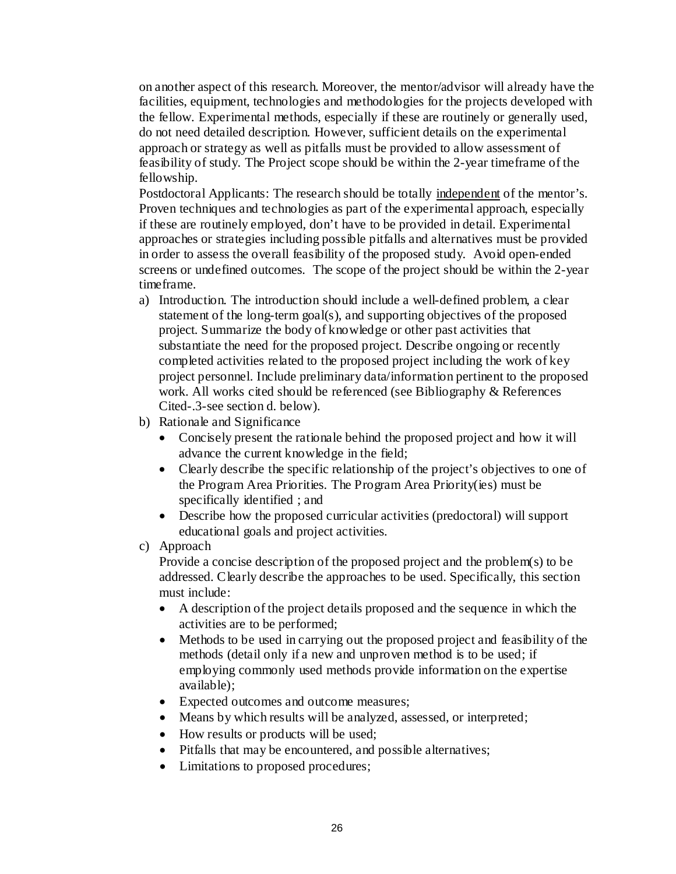on another aspect of this research. Moreover, the mentor/advisor will already have the facilities, equipment, technologies and methodologies for the projects developed with the fellow. Experimental methods, especially if these are routinely or generally used, do not need detailed description. However, sufficient details on the experimental approach or strategy as well as pitfalls must be provided to allow assessment of feasibility of study. The Project scope should be within the 2-year timeframe of the fellowship.

Postdoctoral Applicants: The research should be totally independent of the mentor's. Proven techniques and technologies as part of the experimental approach, especially if these are routinely employed, don't have to be provided in detail. Experimental approaches or strategies including possible pitfalls and alternatives must be provided in order to assess the overall feasibility of the proposed study. Avoid open-ended screens or undefined outcomes. The scope of the project should be within the 2-year timeframe.

- a) Introduction. The introduction should include a well-defined problem, a clear statement of the long-term goal(s), and supporting objectives of the proposed project. Summarize the body of knowledge or other past activities that substantiate the need for the proposed project. Describe ongoing or recently completed activities related to the proposed project including the work of key project personnel. Include preliminary data/information pertinent to the proposed work. All works cited should be referenced (see Bibliography & References Cited-.3-see section d. below).
- b) Rationale and Significance
	- Concisely present the rationale behind the proposed project and how it will advance the current knowledge in the field;
	- Clearly describe the specific relationship of the project's objectives to one of the Program Area Priorities. The Program Area Priority(ies) must be specifically identified ; and
	- Describe how the proposed curricular activities (predoctoral) will support educational goals and project activities.
- c) Approach

Provide a concise description of the proposed project and the problem(s) to be addressed. Clearly describe the approaches to be used. Specifically, this section must include:

- A description of the project details proposed and the sequence in which the activities are to be performed;
- Methods to be used in carrying out the proposed project and feasibility of the methods (detail only if a new and unproven method is to be used; if employing commonly used methods provide information on the expertise available);
- Expected outcomes and outcome measures;
- Means by which results will be analyzed, assessed, or interpreted;
- How results or products will be used;
- Pitfalls that may be encountered, and possible alternatives;
- Limitations to proposed procedures: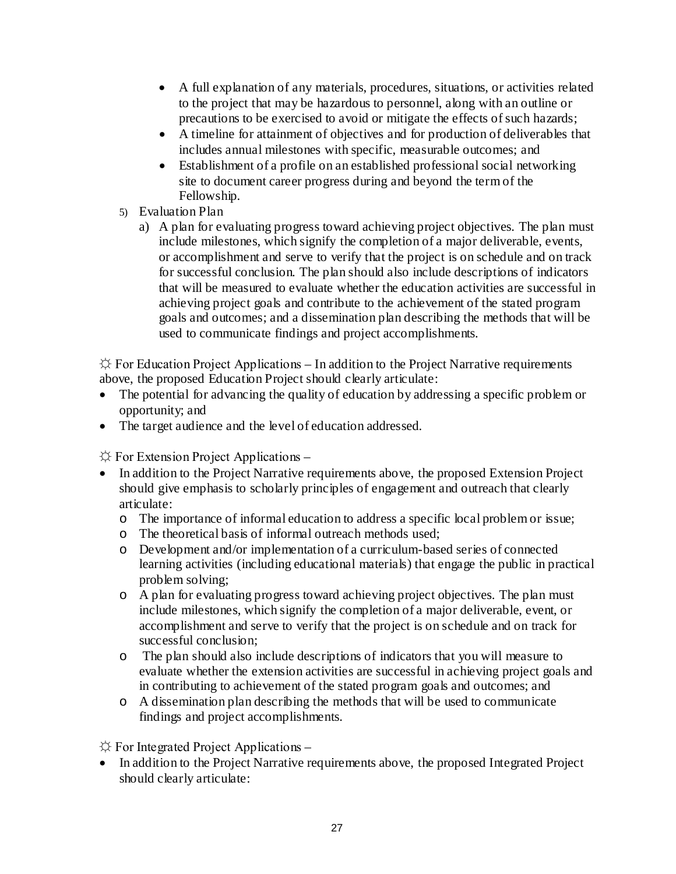- A full explanation of any materials, procedures, situations, or activities related to the project that may be hazardous to personnel, along with an outline or precautions to be exercised to avoid or mitigate the effects of such hazards;
- A timeline for attainment of objectives and for production of deliverables that includes annual milestones with specific, measurable outcomes; and
- Establishment of a profile on an established professional social networking site to document career progress during and beyond the term of the Fellowship.
- 5) Evaluation Plan
	- a) A plan for evaluating progress toward achieving project objectives. The plan must include milestones, which signify the completion of a major deliverable, events, or accomplishment and serve to verify that the project is on schedule and on track for successful conclusion. The plan should also include descriptions of indicators that will be measured to evaluate whether the education activities are successful in achieving project goals and contribute to the achievement of the stated program goals and outcomes; and a dissemination plan describing the methods that will be used to communicate findings and project accomplishments.

 $\hat{\varphi}$  For Education Project Applications – In addition to the Project Narrative requirements above, the proposed Education Project should clearly articulate:

- The potential for advancing the quality of education by addressing a specific problem or opportunity; and
- The target audience and the level of education addressed.

 $\Diamond$  For Extension Project Applications –

- In addition to the Project Narrative requirements above, the proposed Extension Project should give emphasis to scholarly principles of engagement and outreach that clearly articulate:
	- o The importance of informal education to address a specific local problem or issue;
	- o The theoretical basis of informal outreach methods used;
	- o Development and/or implementation of a curriculum-based series of connected learning activities (including educational materials) that engage the public in practical problem solving;
	- o A plan for evaluating progress toward achieving project objectives. The plan must include milestones, which signify the completion of a major deliverable, event, or accomplishment and serve to verify that the project is on schedule and on track for successful conclusion;
	- o The plan should also include descriptions of indicators that you will measure to evaluate whether the extension activities are successful in achieving project goals and in contributing to achievement of the stated program goals and outcomes; and
	- o A dissemination plan describing the methods that will be used to communicate findings and project accomplishments.

 $\Diamond$  For Integrated Project Applications –

• In addition to the Project Narrative requirements above, the proposed Integrated Project should clearly articulate: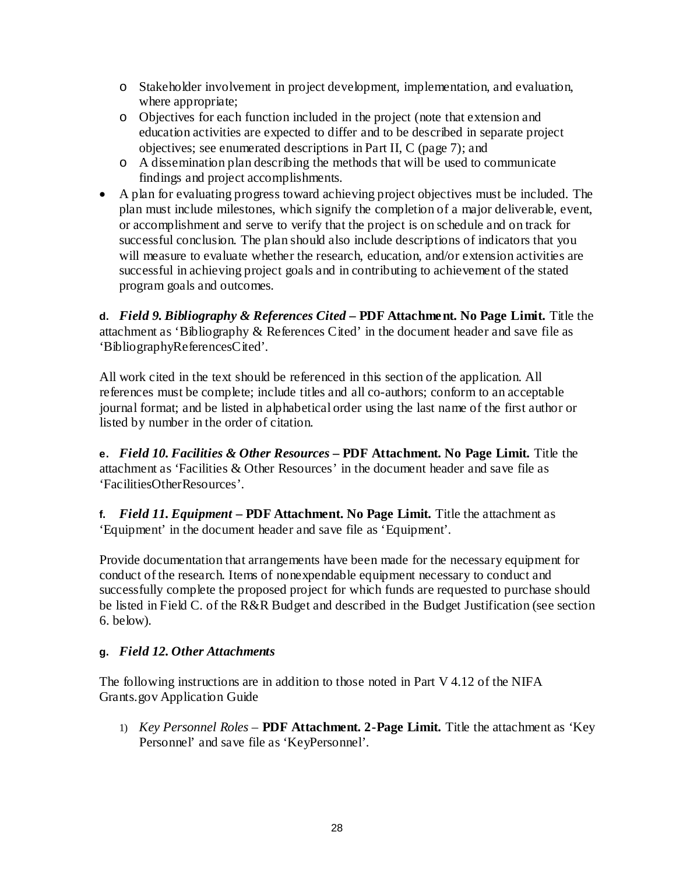- o Stakeholder involvement in project development, implementation, and evaluation, where appropriate;
- o Objectives for each function included in the project (note that extension and education activities are expected to differ and to be described in separate project objectives; see enumerated descriptions in Part II, C (page 7); and
- o A dissemination plan describing the methods that will be used to communicate findings and project accomplishments.
- A plan for evaluating progress toward achieving project objectives must be included. The plan must include milestones, which signify the completion of a major deliverable, event, or accomplishment and serve to verify that the project is on schedule and on track for successful conclusion. The plan should also include descriptions of indicators that you will measure to evaluate whether the research, education, and/or extension activities are successful in achieving project goals and in contributing to achievement of the stated program goals and outcomes.

**d.** *Field 9. Bibliography & References Cited* **– PDF Attachment. No Page Limit.** Title the attachment as 'Bibliography & References Cited' in the document header and save file as 'BibliographyReferencesCited'.

All work cited in the text should be referenced in this section of the application. All references must be complete; include titles and all co-authors; conform to an acceptable journal format; and be listed in alphabetical order using the last name of the first author or listed by number in the order of citation.

**e.** *Field 10. Facilities & Other Resources* **– PDF Attachment. No Page Limit.** Title the attachment as 'Facilities & Other Resources' in the document header and save file as 'FacilitiesOtherResources'.

**f.** *Field 11. Equipment* **– PDF Attachment. No Page Limit.** Title the attachment as 'Equipment' in the document header and save file as 'Equipment'.

Provide documentation that arrangements have been made for the necessary equipment for conduct of the research. Items of nonexpendable equipment necessary to conduct and successfully complete the proposed project for which funds are requested to purchase should be listed in Field C. of the R&R Budget and described in the Budget Justification (see section 6. below).

## **g.** *Field 12. Other Attachments*

The following instructions are in addition to those noted in Part V 4.12 of the NIFA Grants.gov Application Guide

1) *Key Personnel Roles* – **PDF Attachment. 2-Page Limit.** Title the attachment as 'Key Personnel' and save file as 'KeyPersonnel'.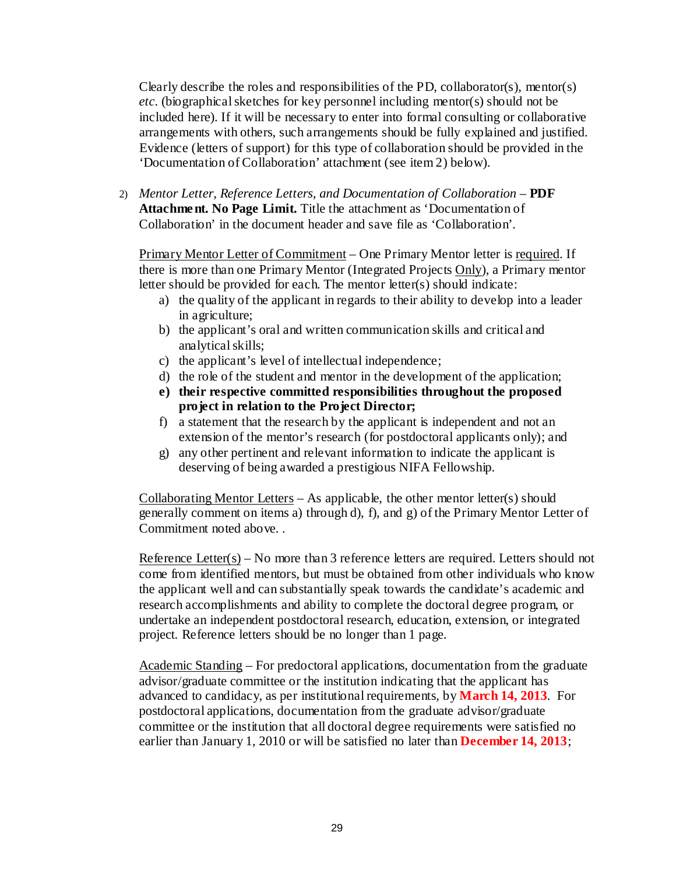Clearly describe the roles and responsibilities of the PD, collaborator(s), mentor(s) *etc*. (biographical sketches for key personnel including mentor(s) should not be included here). If it will be necessary to enter into formal consulting or collaborative arrangements with others, such arrangements should be fully explained and justified. Evidence (letters of support) for this type of collaboration should be provided in the 'Documentation of Collaboration' attachment (see item 2) below).

2) *Mentor Letter, Reference Letters, and Documentation of Collaboration* – **PDF Attachment. No Page Limit.** Title the attachment as 'Documentation of Collaboration' in the document header and save file as 'Collaboration'.

Primary Mentor Letter of Commitment – One Primary Mentor letter is required. If there is more than one Primary Mentor (Integrated Projects Only), a Primary mentor letter should be provided for each. The mentor letter(s) should indicate:

- a) the quality of the applicant in regards to their ability to develop into a leader in agriculture;
- b) the applicant's oral and written communication skills and critical and analytical skills;
- c) the applicant's level of intellectual independence;
- d) the role of the student and mentor in the development of the application;
- **e) their respective committed responsibilities throughout the proposed project in relation to the Project Director;**
- f) a statement that the research by the applicant is independent and not an extension of the mentor's research (for postdoctoral applicants only); and
- g) any other pertinent and relevant information to indicate the applicant is deserving of being awarded a prestigious NIFA Fellowship.

Collaborating Mentor Letters – As applicable, the other mentor letter(s) should generally comment on items a) through d), f), and g) of the Primary Mentor Letter of Commitment noted above. .

Reference Letter( $s$ ) – No more than 3 reference letters are required. Letters should not come from identified mentors, but must be obtained from other individuals who know the applicant well and can substantially speak towards the candidate's academic and research accomplishments and ability to complete the doctoral degree program, or undertake an independent postdoctoral research, education, extension, or integrated project. Reference letters should be no longer than 1 page.

Academic Standing – For predoctoral applications, documentation from the graduate advisor/graduate committee or the institution indicating that the applicant has advanced to candidacy, as per institutional requirements, by **March 14, 2013**. For postdoctoral applications, documentation from the graduate advisor/graduate committee or the institution that all doctoral degree requirements were satisfied no earlier than January 1, 2010 or will be satisfied no later than **December 14, 2013**;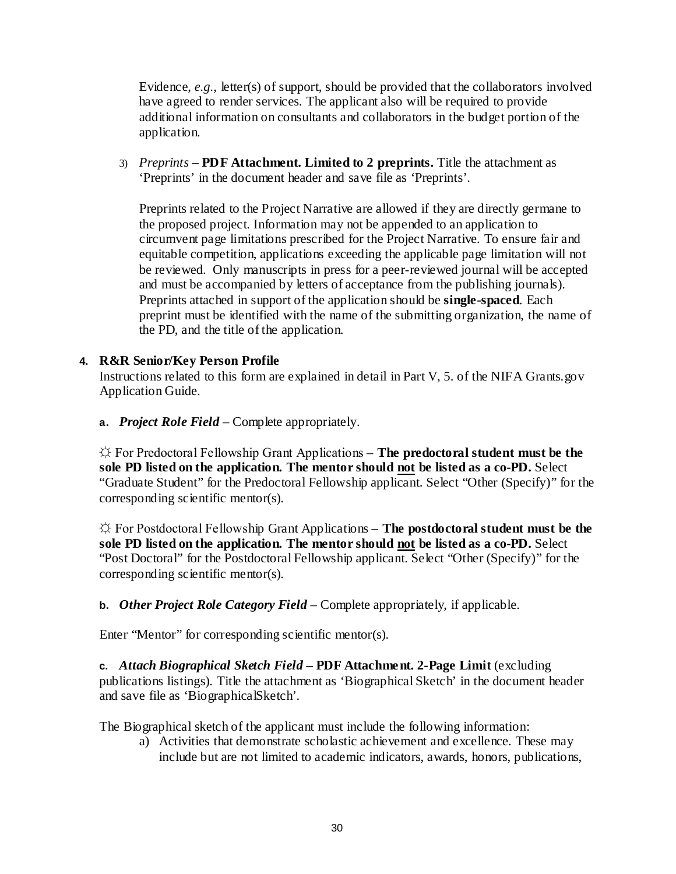Evidence, *e.g.*, letter(s) of support, should be provided that the collaborators involved have agreed to render services. The applicant also will be required to provide additional information on consultants and collaborators in the budget portion of the application.

3) *Preprints* – **PDF Attachment. Limited to 2 preprints.** Title the attachment as 'Preprints' in the document header and save file as 'Preprints'.

Preprints related to the Project Narrative are allowed if they are directly germane to the proposed project. Information may not be appended to an application to circumvent page limitations prescribed for the Project Narrative. To ensure fair and equitable competition, applications exceeding the applicable page limitation will not be reviewed. Only manuscripts in press for a peer-reviewed journal will be accepted and must be accompanied by letters of acceptance from the publishing journals). Preprints attached in support of the application should be **single-spaced**. Each preprint must be identified with the name of the submitting organization, the name of the PD, and the title of the application.

## **4. R&R Senior/Key Person Profile**

Instructions related to this form are explained in detail in Part V, 5. of the NIFA Grants.gov Application Guide.

**a.** *Project Role Field* – Complete appropriately.

☼ For Predoctoral Fellowship Grant Applications – **The predoctoral student must be the sole PD listed on the application. The mentor should not be listed as a co-PD.** Select "Graduate Student" for the Predoctoral Fellowship applicant. Select "Other (Specify)" for the corresponding scientific mentor(s).

☼ For Postdoctoral Fellowship Grant Applications – **The postdoctoral student must be the sole PD listed on the application. The mentor should not be listed as a co-PD.** Select "Post Doctoral" for the Postdoctoral Fellowship applicant. Select "Other (Specify)" for the corresponding scientific mentor(s).

**b.** *Other Project Role Category Field* – Complete appropriately, if applicable.

Enter "Mentor" for corresponding scientific mentor(s).

**c.** *Attach Biographical Sketch Field* **– PDF Attachment. 2-Page Limit** (excluding publications listings). Title the attachment as 'Biographical Sketch' in the document header and save file as 'BiographicalSketch'.

The Biographical sketch of the applicant must include the following information:

a) Activities that demonstrate scholastic achievement and excellence. These may include but are not limited to academic indicators, awards, honors, publications,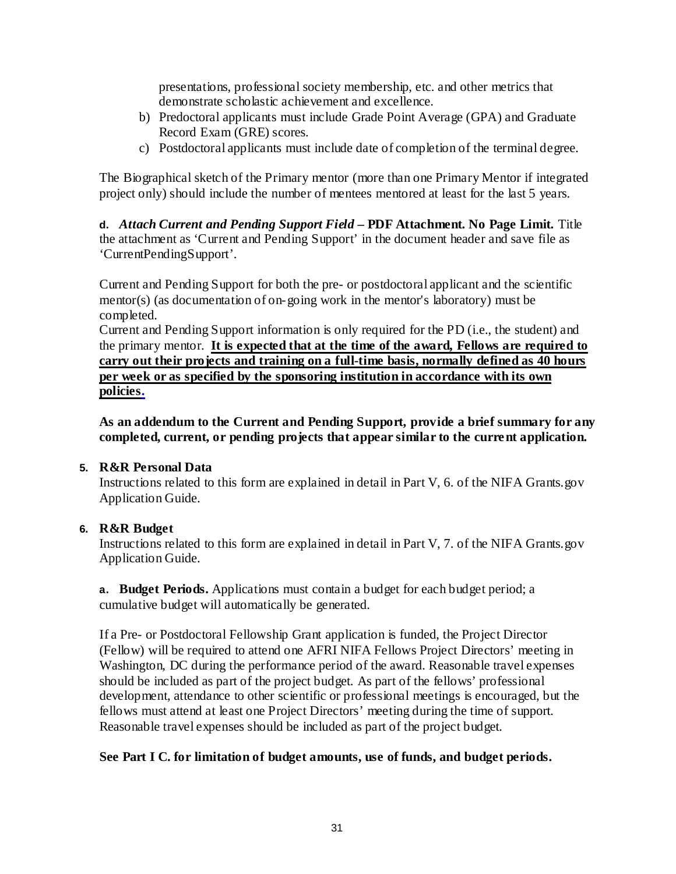presentations, professional society membership, etc. and other metrics that demonstrate scholastic achievement and excellence.

- b) Predoctoral applicants must include Grade Point Average (GPA) and Graduate Record Exam (GRE) scores.
- c) Postdoctoral applicants must include date of completion of the terminal degree.

The Biographical sketch of the Primary mentor (more than one Primary Mentor if integrated project only) should include the number of mentees mentored at least for the last 5 years.

**d.** *Attach Current and Pending Support Field* **– PDF Attachment. No Page Limit.** Title the attachment as 'Current and Pending Support' in the document header and save file as 'CurrentPendingSupport'.

Current and Pending Support for both the pre- or postdoctoral applicant and the scientific mentor(s) (as documentation of on-going work in the mentor's laboratory) must be completed.

Current and Pending Support information is only required for the PD (i.e., the student) and the primary mentor. **It is expected that at the time of the award, Fellows are required to carry out their projects and training on a full-time basis, normally defined as 40 hours per week or as specified by the sponsoring institution in accordance with its own policies.**

**As an addendum to the Current and Pending Support, provide a brief summary for any completed, current, or pending projects that appear similar to the current application.**

## **5. R&R Personal Data**

Instructions related to this form are explained in detail in Part V, 6. of the NIFA Grants.gov Application Guide.

## **6. R&R Budget**

Instructions related to this form are explained in detail in Part V, 7. of the NIFA Grants.gov Application Guide.

**a. Budget Periods.** Applications must contain a budget for each budget period; a cumulative budget will automatically be generated.

If a Pre- or Postdoctoral Fellowship Grant application is funded, the Project Director (Fellow) will be required to attend one AFRI NIFA Fellows Project Directors' meeting in Washington, DC during the performance period of the award. Reasonable travel expenses should be included as part of the project budget. As part of the fellows' professional development, attendance to other scientific or professional meetings is encouraged, but the fellows must attend at least one Project Directors' meeting during the time of support. Reasonable travel expenses should be included as part of the project budget.

## **See Part I C. for limitation of budget amounts, use of funds, and budget periods.**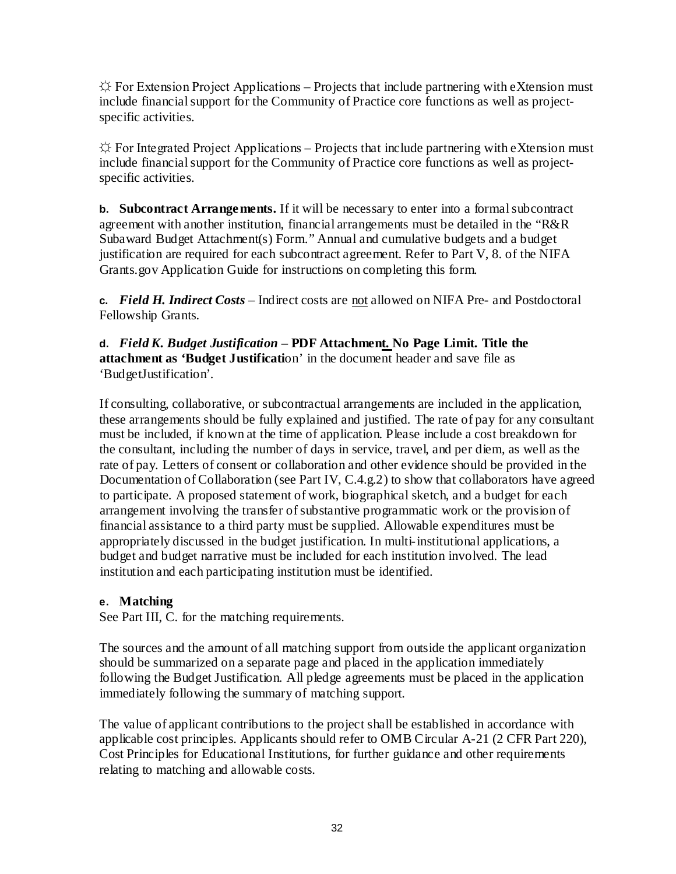$\hat{X}$  For Extension Project Applications – Projects that include partnering with eXtension must include financial support for the Community of Practice core functions as well as projectspecific activities.

 $\Diamond$  For Integrated Project Applications – Projects that include partnering with eXtension must include financial support for the Community of Practice core functions as well as projectspecific activities.

**b. Subcontract Arrangements.** If it will be necessary to enter into a formalsubcontract agreement with another institution, financial arrangements must be detailed in the "R&R Subaward Budget Attachment(s) Form." Annual and cumulative budgets and a budget justification are required for each subcontract agreement. Refer to Part V, 8. of the NIFA Grants.gov Application Guide for instructions on completing this form.

**c.** *Field H. Indirect Costs* – Indirect costs are not allowed on NIFA Pre- and Postdoctoral Fellowship Grants.

**d.** *Field K. Budget Justification* **– PDF Attachment. No Page Limit. Title the attachment as 'Budget Justificati**on' in the document header and save file as 'BudgetJustification'.

If consulting, collaborative, or subcontractual arrangements are included in the application, these arrangements should be fully explained and justified. The rate of pay for any consultant must be included, if known at the time of application. Please include a cost breakdown for the consultant, including the number of days in service, travel, and per diem, as well as the rate of pay. Letters of consent or collaboration and other evidence should be provided in the Documentation of Collaboration (see Part IV, C.4.g.2) to show that collaborators have agreed to participate. A proposed statement of work, biographical sketch, and a budget for each arrangement involving the transfer of substantive programmatic work or the provision of financial assistance to a third party must be supplied. Allowable expenditures must be appropriately discussed in the budget justification. In multi-institutional applications, a budget and budget narrative must be included for each institution involved. The lead institution and each participating institution must be identified.

## **e. Matching**

See Part III, C. for the matching requirements.

The sources and the amount of all matching support from outside the applicant organization should be summarized on a separate page and placed in the application immediately following the Budget Justification. All pledge agreements must be placed in the application immediately following the summary of matching support.

The value of applicant contributions to the project shall be established in accordance with applicable cost principles. Applicants should refer to OMB Circular A-21 (2 CFR Part 220), Cost Principles for Educational Institutions, for further guidance and other requirements relating to matching and allowable costs.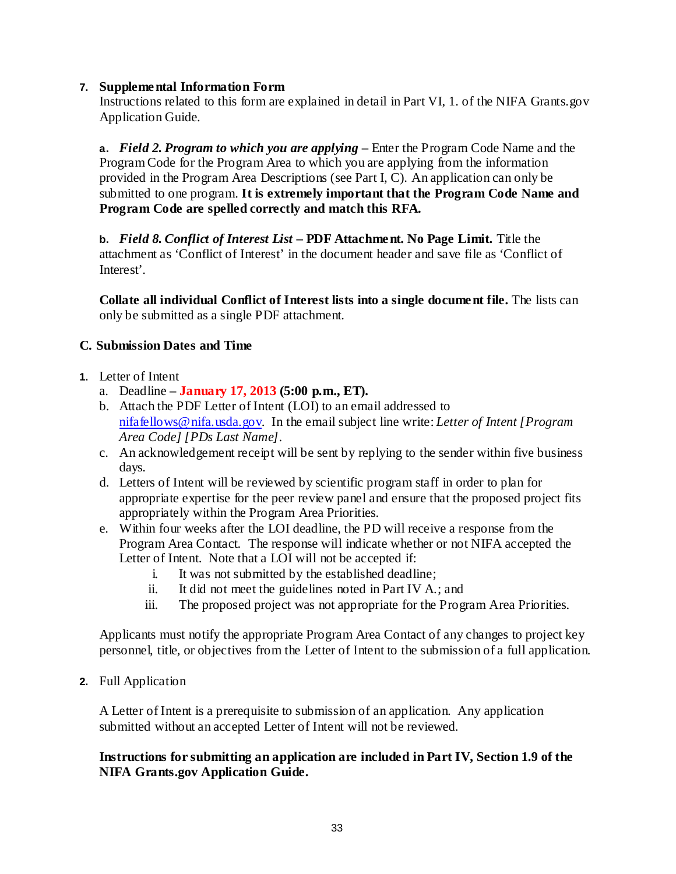## **7. Supplemental Information Form**

Instructions related to this form are explained in detail in Part VI, 1. of the NIFA Grants.gov Application Guide.

**a.** *Field 2. Program to which you are applying* **–** Enter the Program Code Name and the Program Code for the Program Area to which you are applying from the information provided in the Program Area Descriptions (see Part I, C). An application can only be submitted to one program. **It is extremely important that the Program Code Name and Program Code are spelled correctly and match this RFA.**

**b.** *Field 8. Conflict of Interest List* **– PDF Attachment. No Page Limit.** Title the attachment as 'Conflict of Interest' in the document header and save file as 'Conflict of Interest'.

**Collate all individual Conflict of Interest lists into a single document file.** The lists can only be submitted as a single PDF attachment.

## <span id="page-37-0"></span>**C. Submission Dates and Time**

- **1.** Letter of Intent
	- a. Deadline **– January 17, 2013 (5:00 p.m., ET).**
	- b. Attach the PDF Letter of Intent (LOI) to an email addressed to [nifafellows@nifa.usda.gov.](mailto:nifafellows@nifa.usda.gov) In the email subject line write: *Letter of Intent [Program Area Code] [PDs Last Name]*.
	- c. An acknowledgement receipt will be sent by replying to the sender within five business days.
	- d. Letters of Intent will be reviewed by scientific program staff in order to plan for appropriate expertise for the peer review panel and ensure that the proposed project fits appropriately within the Program Area Priorities.
	- e. Within four weeks after the LOI deadline, the PD will receive a response from the Program Area Contact. The response will indicate whether or not NIFA accepted the Letter of Intent. Note that a LOI will not be accepted if:
		- i. It was not submitted by the established deadline;
		- ii. It did not meet the guidelines noted in Part IV A.; and
		- iii. The proposed project was not appropriate for the Program Area Priorities.

Applicants must notify the appropriate Program Area Contact of any changes to project key personnel, title, or objectives from the Letter of Intent to the submission of a full application.

**2.** Full Application

A Letter of Intent is a prerequisite to submission of an application. Any application submitted without an accepted Letter of Intent will not be reviewed.

## **Instructions for submitting an application are included in Part IV, Section 1.9 of the NIFA Grants.gov Application Guide.**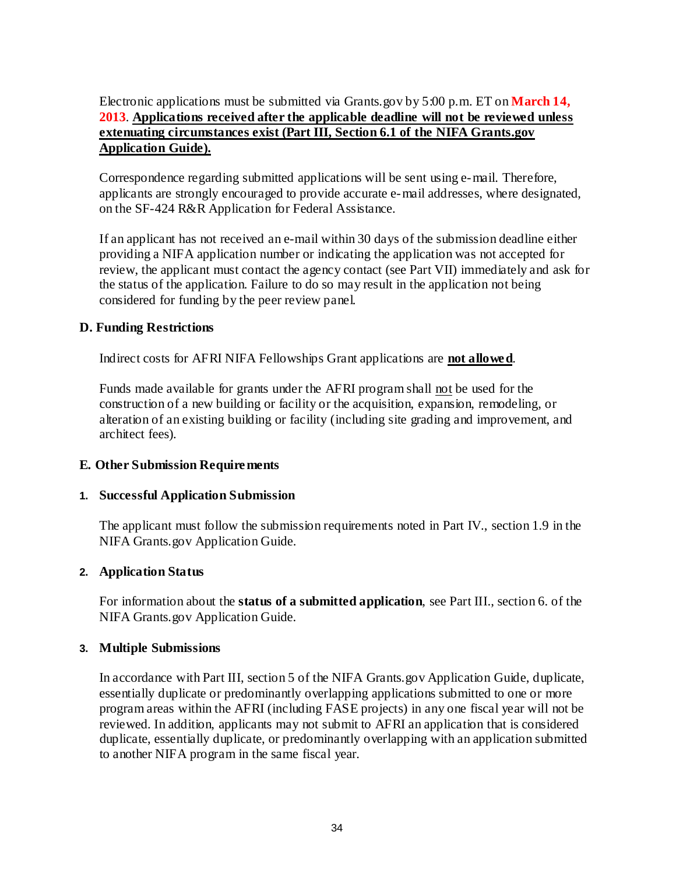## Electronic applications must be submitted via Grants.gov by 5:00 p.m. ET on **March 14, 2013**. **Applications received after the applicable deadline will not be reviewed unless extenuating circumstances exist (Part III, Section 6.1 of the NIFA Grants.gov Application Guide).**

Correspondence regarding submitted applications will be sent using e-mail. Therefore, applicants are strongly encouraged to provide accurate e-mail addresses, where designated, on the SF-424 R&R Application for Federal Assistance.

If an applicant has not received an e-mail within 30 days of the submission deadline either providing a NIFA application number or indicating the application was not accepted for review, the applicant must contact the agency contact (see Part VII) immediately and ask for the status of the application. Failure to do so may result in the application not being considered for funding by the peer review panel.

## <span id="page-38-0"></span>**D. Funding Restrictions**

Indirect costs for AFRI NIFA Fellowships Grant applications are **not allowed**.

Funds made available for grants under the AFRI program shall not be used for the construction of a new building or facility or the acquisition, expansion, remodeling, or alteration of an existing building or facility (including site grading and improvement, and architect fees).

#### <span id="page-38-1"></span>**E. Other Submission Requirements**

#### **1. Successful Application Submission**

The applicant must follow the submission requirements noted in Part IV., section 1.9 in the NIFA Grants.gov Application Guide.

#### **2. Application Status**

For information about the **status of a submitted application**, see Part III., section 6. of the NIFA Grants.gov Application Guide.

#### **3. Multiple Submissions**

In accordance with Part III, section 5 of the NIFA Grants.gov Application Guide, duplicate, essentially duplicate or predominantly overlapping applications submitted to one or more program areas within the AFRI (including FASE projects) in any one fiscal year will not be reviewed. In addition, applicants may not submit to AFRI an application that is considered duplicate, essentially duplicate, or predominantly overlapping with an application submitted to another NIFA program in the same fiscal year.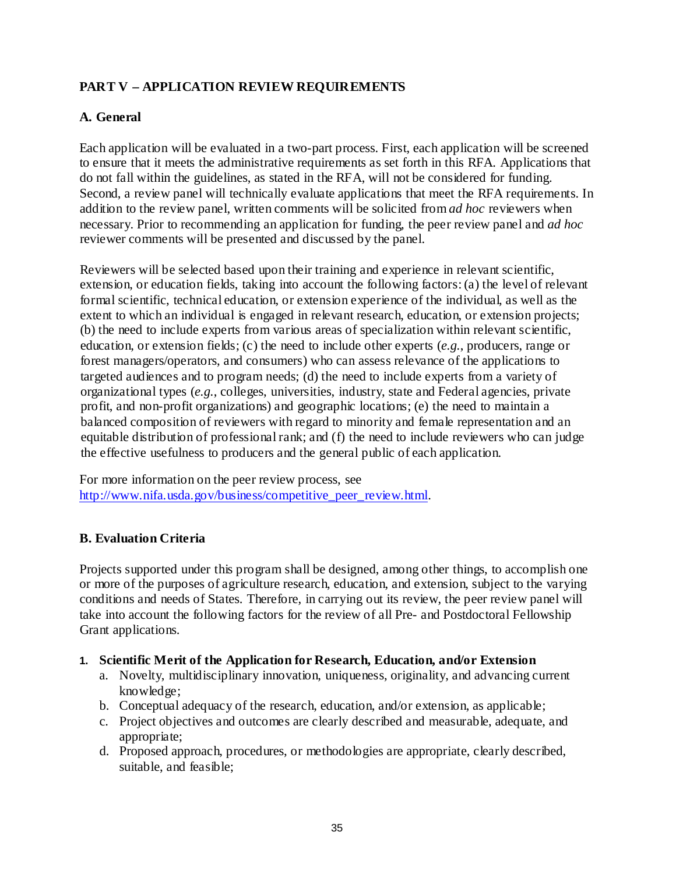## <span id="page-39-0"></span>**PART V – APPLICATION REVIEW REQUIREMENTS**

## <span id="page-39-1"></span>**A. General**

Each application will be evaluated in a two-part process. First, each application will be screened to ensure that it meets the administrative requirements as set forth in this RFA. Applications that do not fall within the guidelines, as stated in the RFA, will not be considered for funding. Second, a review panel will technically evaluate applications that meet the RFA requirements. In addition to the review panel, written comments will be solicited from *ad hoc* reviewers when necessary. Prior to recommending an application for funding, the peer review panel and *ad hoc* reviewer comments will be presented and discussed by the panel.

Reviewers will be selected based upon their training and experience in relevant scientific, extension, or education fields, taking into account the following factors:(a) the level of relevant formal scientific, technical education, or extension experience of the individual, as well as the extent to which an individual is engaged in relevant research, education, or extension projects; (b) the need to include experts from various areas of specialization within relevant scientific, education, or extension fields; (c) the need to include other experts (*e.g.*, producers, range or forest managers/operators, and consumers) who can assess relevance of the applications to targeted audiences and to program needs; (d) the need to include experts from a variety of organizational types (*e.g.*, colleges, universities, industry, state and Federal agencies, private profit, and non-profit organizations) and geographic locations; (e) the need to maintain a balanced composition of reviewers with regard to minority and female representation and an equitable distribution of professional rank; and (f) the need to include reviewers who can judge the effective usefulness to producers and the general public of each application.

For more information on the peer review process, see [http://www.nifa.usda.gov/business/competitive\\_peer\\_review.html.](http://www.nifa.usda.gov/business/competitive_peer_review.html)

## <span id="page-39-2"></span>**B. Evaluation Criteria**

Projects supported under this program shall be designed, among other things, to accomplish one or more of the purposes of agriculture research, education, and extension, subject to the varying conditions and needs of States. Therefore, in carrying out its review, the peer review panel will take into account the following factors for the review of all Pre- and Postdoctoral Fellowship Grant applications.

#### **1. Scientific Merit of the Application for Research, Education, and/or Extension**

- a. Novelty, multidisciplinary innovation, uniqueness, originality, and advancing current knowledge;
- b. Conceptual adequacy of the research, education, and/or extension, as applicable;
- c. Project objectives and outcomes are clearly described and measurable, adequate, and appropriate;
- d. Proposed approach, procedures, or methodologies are appropriate, clearly described, suitable, and feasible;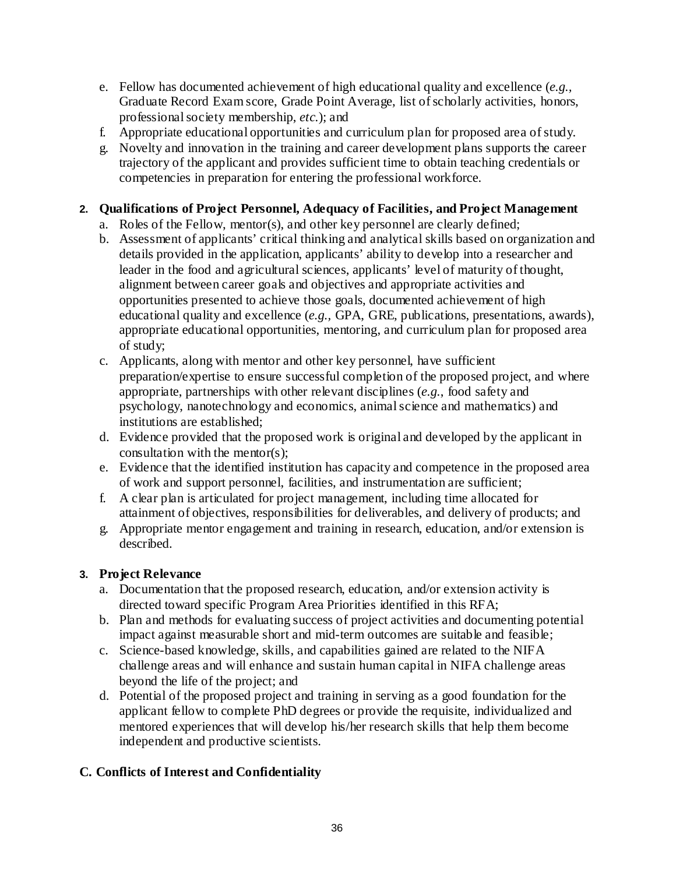- e. Fellow has documented achievement of high educational quality and excellence (*e.g.,* Graduate Record Exam score, Grade Point Average, list of scholarly activities, honors, professional society membership, *etc.*); and
- f. Appropriate educational opportunities and curriculum plan for proposed area of study.
- g. Novelty and innovation in the training and career development plans supports the career trajectory of the applicant and provides sufficient time to obtain teaching credentials or competencies in preparation for entering the professional workforce.

## **2. Qualifications of Project Personnel, Adequacy of Facilities, and Project Management**

- a. Roles of the Fellow, mentor(s), and other key personnel are clearly defined;
- b. Assessment of applicants' critical thinking and analytical skills based on organization and details provided in the application, applicants' ability to develop into a researcher and leader in the food and agricultural sciences, applicants' level of maturity of thought, alignment between career goals and objectives and appropriate activities and opportunities presented to achieve those goals, documented achievement of high educational quality and excellence (*e.g.,* GPA, GRE, publications, presentations, awards), appropriate educational opportunities, mentoring, and curriculum plan for proposed area of study;
- c. Applicants, along with mentor and other key personnel, have sufficient preparation/expertise to ensure successful completion of the proposed project, and where appropriate, partnerships with other relevant disciplines (*e.g.*, food safety and psychology, nanotechnology and economics, animal science and mathematics) and institutions are established;
- d. Evidence provided that the proposed work is original and developed by the applicant in consultation with the mentor(s);
- e. Evidence that the identified institution has capacity and competence in the proposed area of work and support personnel, facilities, and instrumentation are sufficient;
- f. A clear plan is articulated for project management, including time allocated for attainment of objectives, responsibilities for deliverables, and delivery of products; and
- g. Appropriate mentor engagement and training in research, education, and/or extension is described.

## **3. Project Relevance**

- a. Documentation that the proposed research, education, and/or extension activity is directed toward specific Program Area Priorities identified in this RFA;
- b. Plan and methods for evaluating success of project activities and documenting potential impact against measurable short and mid-term outcomes are suitable and feasible;
- c. Science-based knowledge, skills, and capabilities gained are related to the NIFA challenge areas and will enhance and sustain human capital in NIFA challenge areas beyond the life of the project; and
- d. Potential of the proposed project and training in serving as a good foundation for the applicant fellow to complete PhD degrees or provide the requisite, individualized and mentored experiences that will develop his/her research skills that help them become independent and productive scientists.

## <span id="page-40-0"></span>**C. Conflicts of Interest and Confidentiality**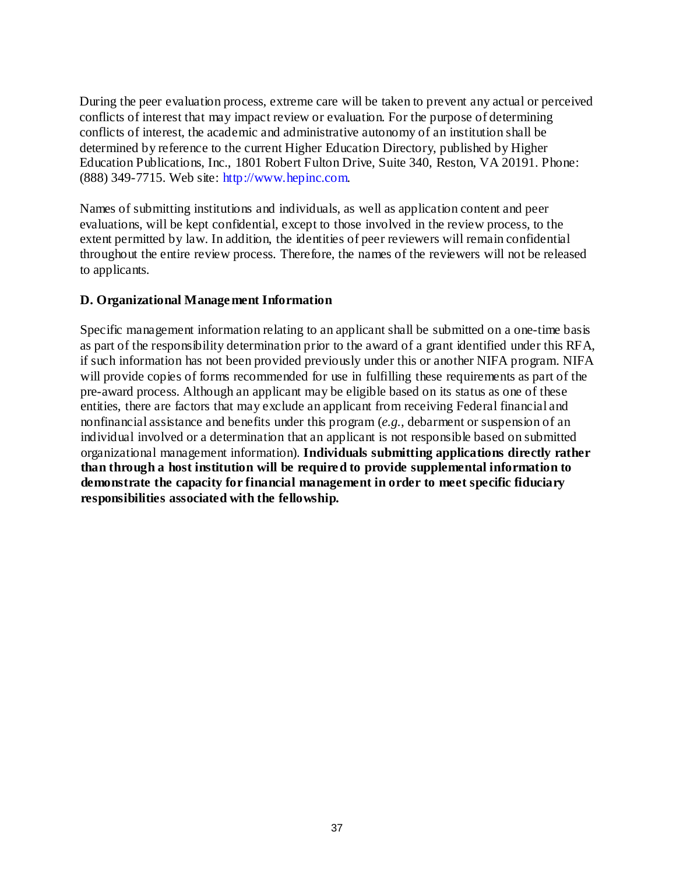During the peer evaluation process, extreme care will be taken to prevent any actual or perceived conflicts of interest that may impact review or evaluation. For the purpose of determining conflicts of interest, the academic and administrative autonomy of an institution shall be determined by reference to the current Higher Education Directory, published by Higher Education Publications, Inc., 1801 Robert Fulton Drive, Suite 340, Reston, VA 20191. Phone: (888) 349-7715. Web site: [http://www.hepinc.com.](http://www.hepinc.com/)

Names of submitting institutions and individuals, as well as application content and peer evaluations, will be kept confidential, except to those involved in the review process, to the extent permitted by law. In addition, the identities of peer reviewers will remain confidential throughout the entire review process. Therefore, the names of the reviewers will not be released to applicants.

## <span id="page-41-0"></span>**D. Organizational Management Information**

Specific management information relating to an applicant shall be submitted on a one-time basis as part of the responsibility determination prior to the award of a grant identified under this RFA, if such information has not been provided previously under this or another NIFA program. NIFA will provide copies of forms recommended for use in fulfilling these requirements as part of the pre-award process. Although an applicant may be eligible based on its status as one of these entities, there are factors that may exclude an applicant from receiving Federal financial and nonfinancial assistance and benefits under this program (*e.g.*, debarment or suspension of an individual involved or a determination that an applicant is not responsible based on submitted organizational management information). **Individuals submitting applications directly rather than through a host institution will be required to provide supplemental information to demonstrate the capacity for financial management in order to meet specific fiduciary responsibilities associated with the fellowship.**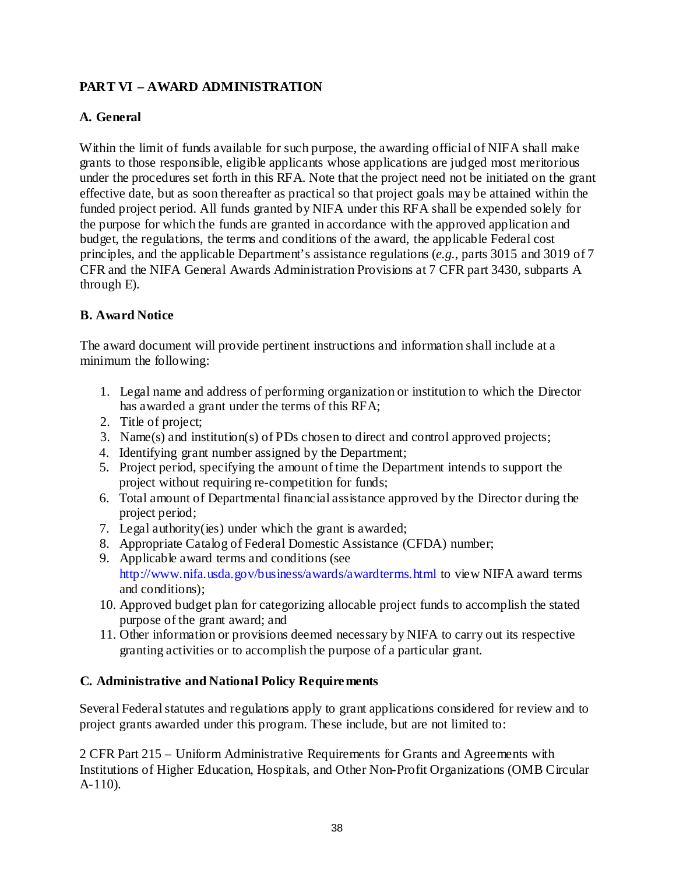## <span id="page-42-0"></span>**PART VI – AWARD ADMINISTRATION**

## <span id="page-42-1"></span>**A. General**

Within the limit of funds available for such purpose, the awarding official of NIFA shall make grants to those responsible, eligible applicants whose applications are judged most meritorious under the procedures set forth in this RFA. Note that the project need not be initiated on the grant effective date, but as soon thereafter as practical so that project goals may be attained within the funded project period. All funds granted by NIFA under this RFA shall be expended solely for the purpose for which the funds are granted in accordance with the approved application and budget, the regulations, the terms and conditions of the award, the applicable Federal cost principles, and the applicable Department's assistance regulations (*e.g.*, parts 3015 and 3019 of 7 CFR and the NIFA General Awards Administration Provisions at 7 CFR part 3430, subparts A through E).

## <span id="page-42-2"></span>**B. Award Notice**

The award document will provide pertinent instructions and information shall include at a minimum the following:

- 1. Legal name and address of performing organization or institution to which the Director has awarded a grant under the terms of this RFA;
- 2. Title of project;
- 3. Name(s) and institution(s) of PDs chosen to direct and control approved projects;
- 4. Identifying grant number assigned by the Department;
- 5. Project period, specifying the amount of time the Department intends to support the project without requiring re-competition for funds;
- 6. Total amount of Departmental financial assistance approved by the Director during the project period;
- 7. Legal authority(ies) under which the grant is awarded;
- 8. Appropriate Catalog of Federal Domestic Assistance (CFDA) number;
- 9. Applicable award terms and conditions (see <http://www.nifa.usda.gov/business/awards/awardterms.html> to view NIFA award terms and conditions);
- 10. Approved budget plan for categorizing allocable project funds to accomplish the stated purpose of the grant award; and
- 11. Other information or provisions deemed necessary by NIFA to carry out its respective granting activities or to accomplish the purpose of a particular grant.

## <span id="page-42-3"></span>**C. Administrative and National Policy Requirements**

Several Federal statutes and regulations apply to grant applications considered for review and to project grants awarded under this program. These include, but are not limited to:

2 CFR Part 215 – Uniform Administrative Requirements for Grants and Agreements with Institutions of Higher Education, Hospitals, and Other Non-Profit Organizations (OMB Circular A-110).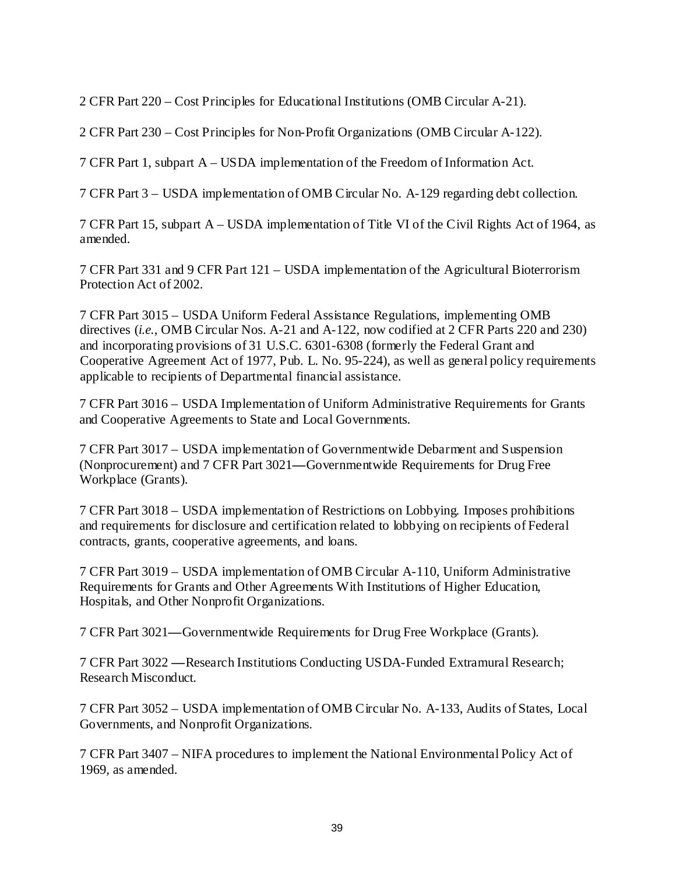2 CFR Part 220 – Cost Principles for Educational Institutions (OMB Circular A-21).

2 CFR Part 230 – Cost Principles for Non-Profit Organizations (OMB Circular A-122).

7 CFR Part 1, subpart A – USDA implementation of the Freedom of Information Act.

7 CFR Part 3 – USDA implementation of OMB Circular No. A-129 regarding debt collection.

7 CFR Part 15, subpart A – USDA implementation of Title VI of the Civil Rights Act of 1964, as amended.

7 CFR Part 331 and 9 CFR Part 121 – USDA implementation of the Agricultural Bioterrorism Protection Act of 2002.

7 CFR Part 3015 – USDA Uniform Federal Assistance Regulations, implementing OMB directives (*i.e.*, OMB Circular Nos. A-21 and A-122, now codified at 2 CFR Parts 220 and 230) and incorporating provisions of 31 U.S.C. 6301-6308 (formerly the Federal Grant and Cooperative Agreement Act of 1977, Pub. L. No. 95-224), as well as general policy requirements applicable to recipients of Departmental financial assistance.

7 CFR Part 3016 – USDA Implementation of Uniform Administrative Requirements for Grants and Cooperative Agreements to State and Local Governments.

7 CFR Part 3017 – USDA implementation of Governmentwide Debarment and Suspension (Nonprocurement) and 7 CFR Part 3021**—**Governmentwide Requirements for Drug Free Workplace (Grants).

7 CFR Part 3018 – USDA implementation of Restrictions on Lobbying. Imposes prohibitions and requirements for disclosure and certification related to lobbying on recipients of Federal contracts, grants, cooperative agreements, and loans.

7 CFR Part 3019 – USDA implementation of OMB Circular A-110, Uniform Administrative Requirements for Grants and Other Agreements With Institutions of Higher Education, Hospitals, and Other Nonprofit Organizations.

7 CFR Part 3021**—**Governmentwide Requirements for Drug Free Workplace (Grants).

7 CFR Part 3022 **—**Research Institutions Conducting USDA-Funded Extramural Research; Research Misconduct.

7 CFR Part 3052 – USDA implementation of OMB Circular No. A-133, Audits of States, Local Governments, and Nonprofit Organizations.

7 CFR Part 3407 – NIFA procedures to implement the National Environmental Policy Act of 1969, as amended.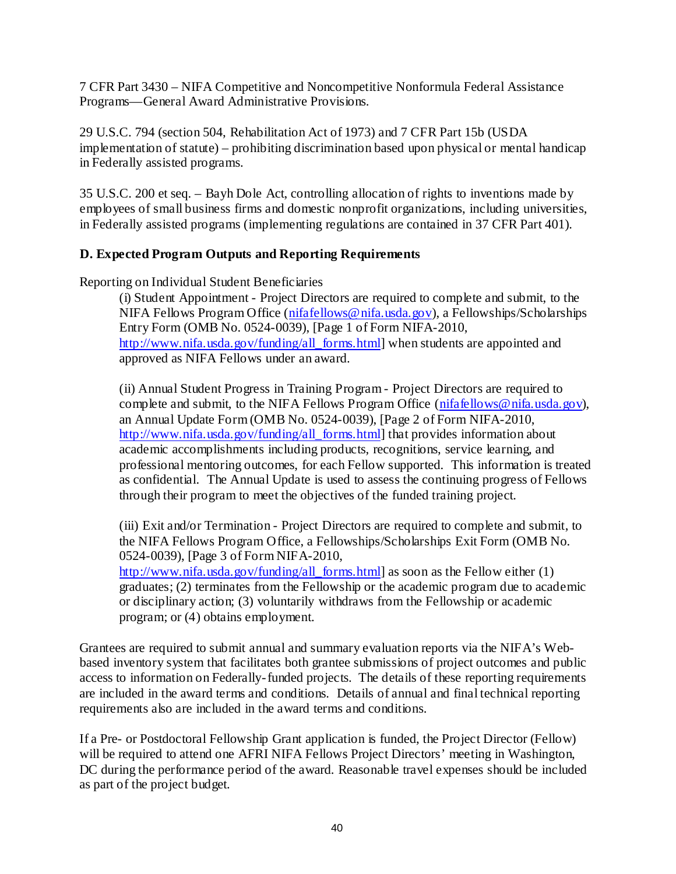7 CFR Part 3430 – NIFA Competitive and Noncompetitive Nonformula Federal Assistance Programs—General Award Administrative Provisions.

29 U.S.C. 794 (section 504, Rehabilitation Act of 1973) and 7 CFR Part 15b (USDA implementation of statute) – prohibiting discrimination based upon physical or mental handicap in Federally assisted programs.

35 U.S.C. 200 et seq. – Bayh Dole Act, controlling allocation of rights to inventions made by employees of small business firms and domestic nonprofit organizations, including universities, in Federally assisted programs (implementing regulations are contained in 37 CFR Part 401).

## <span id="page-44-0"></span>**D. Expected Program Outputs and Reporting Requirements**

Reporting on Individual Student Beneficiaries

(i) Student Appointment - Project Directors are required to complete and submit, to the NIFA Fellows Program Office [\(nifafellows@nifa.usda.gov\)](mailto:nifafellows@nifa.usda.gov), a Fellowships/Scholarships Entry Form (OMB No. 0524-0039), [Page 1 of Form NIFA-2010, [http://www.nifa.usda.gov/funding/all\\_forms.html\]](http://www.nifa.usda.gov/funding/all_forms.html) when students are appointed and approved as NIFA Fellows under an award.

(ii) Annual Student Progress in Training Program - Project Directors are required to complete and submit, to the NIFA Fellows Program Office [\(nifafellows@nifa.usda.gov\)](mailto:nifafellows@nifa.usda.gov), an Annual Update Form (OMB No. 0524-0039), [Page 2 of Form NIFA-2010, [http://www.nifa.usda.gov/funding/all\\_forms.html\]](http://www.nifa.usda.gov/funding/all_forms.html) that provides information about academic accomplishments including products, recognitions, service learning, and professional mentoring outcomes, for each Fellow supported. This information is treated as confidential. The Annual Update is used to assess the continuing progress of Fellows through their program to meet the objectives of the funded training project.

(iii) Exit and/or Termination - Project Directors are required to complete and submit, to the NIFA Fellows Program Office, a Fellowships/Scholarships Exit Form (OMB No. 0524-0039), [Page 3 of Form NIFA-2010,

[http://www.nifa.usda.gov/funding/all\\_forms.html\]](http://www.nifa.usda.gov/funding/all_forms.html) as soon as the Fellow either (1) graduates; (2) terminates from the Fellowship or the academic program due to academic or disciplinary action; (3) voluntarily withdraws from the Fellowship or academic program; or (4) obtains employment.

Grantees are required to submit annual and summary evaluation reports via the NIFA's Webbased inventory system that facilitates both grantee submissions of project outcomes and public access to information on Federally-funded projects. The details of these reporting requirements are included in the award terms and conditions. Details of annual and final technical reporting requirements also are included in the award terms and conditions.

If a Pre- or Postdoctoral Fellowship Grant application is funded, the Project Director (Fellow) will be required to attend one AFRI NIFA Fellows Project Directors' meeting in Washington, DC during the performance period of the award. Reasonable travel expenses should be included as part of the project budget.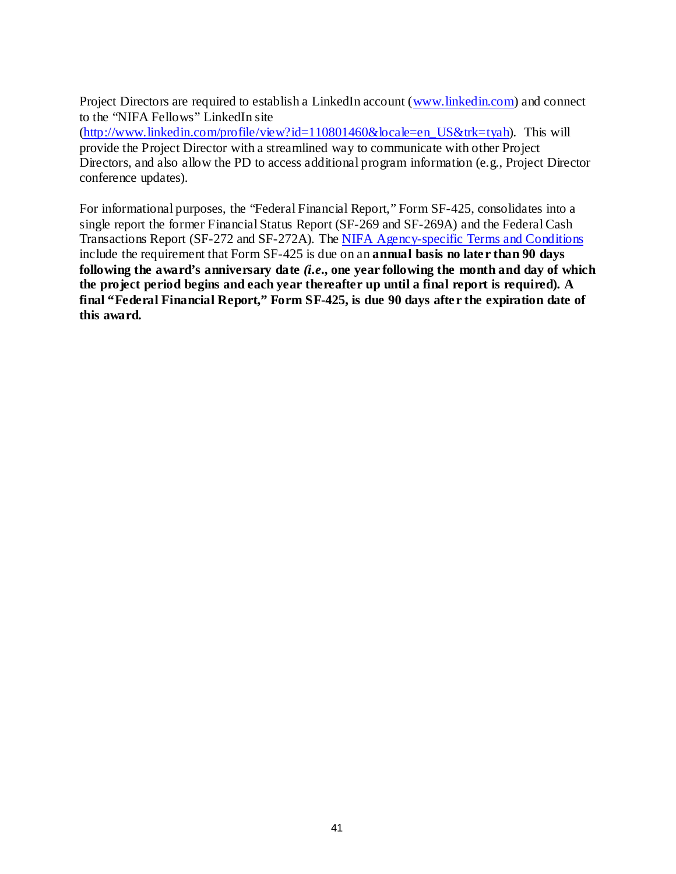Project Directors are required to establish a LinkedIn account [\(www.linkedin.com\)](http://www.linkedin.com/) and connect to the "NIFA Fellows" LinkedIn site

[\(http://www.linkedin.com/profile/view?id=110801460&locale=en\\_US&trk=tyah\)](http://www.linkedin.com/profile/view?id=110801460&locale=en_US&trk=tyah). This will provide the Project Director with a streamlined way to communicate with other Project Directors, and also allow the PD to access additional program information (e.g., Project Director conference updates).

For informational purposes, the "Federal Financial Report," Form SF-425, consolidates into a single report the former Financial Status Report (SF-269 and SF-269A) and the Federal Cash Transactions Report (SF-272 and SF-272A). The [NIFA Agency-specific Terms and Conditions](http://www.nsf.gov/awards/managing/rtc.jsp) include the requirement that Form SF-425 is due on an **annual basis no later than 90 days following the award's anniversary date** *(i.e***., one year following the month and day of which the project period begins and each year thereafter up until a final report is required). A final "Federal Financial Report," Form SF-425, is due 90 days after the expiration date of this award.**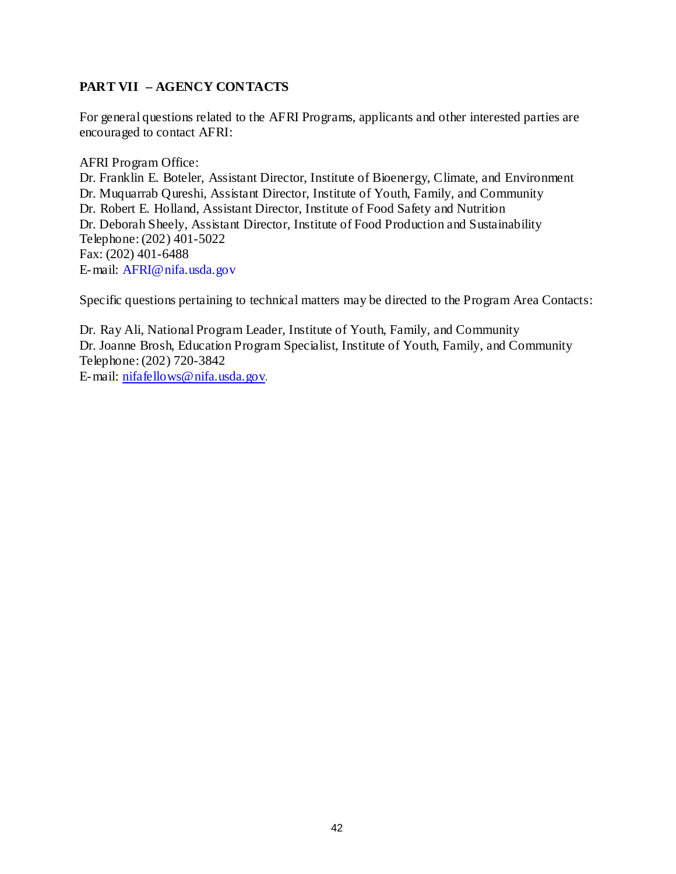## <span id="page-46-0"></span>**PART VII – AGENCY CONTACTS**

For general questions related to the AFRI Programs, applicants and other interested parties are encouraged to contact AFRI:

AFRI Program Office: Dr. Franklin E. Boteler, Assistant Director, Institute of Bioenergy, Climate, and Environment Dr. Muquarrab Qureshi, Assistant Director, Institute of Youth, Family, and Community Dr. Robert E. Holland, Assistant Director, Institute of Food Safety and Nutrition Dr. Deborah Sheely, Assistant Director, Institute of Food Production and Sustainability Telephone: (202) 401-5022 Fax: (202) 401-6488 E-mail: [AFRI@nifa.usda.gov](mailto:AFRI@csrees.usda.gov)

Specific questions pertaining to technical matters may be directed to the Program Area Contacts:

Dr. Ray Ali, National Program Leader, Institute of Youth, Family, and Community Dr. Joanne Brosh, Education Program Specialist, Institute of Youth, Family, and Community Telephone: (202) 720-3842 E-mail: [nifafellows@nifa.usda.gov](mailto:nifafellows@nifa.usda.gov).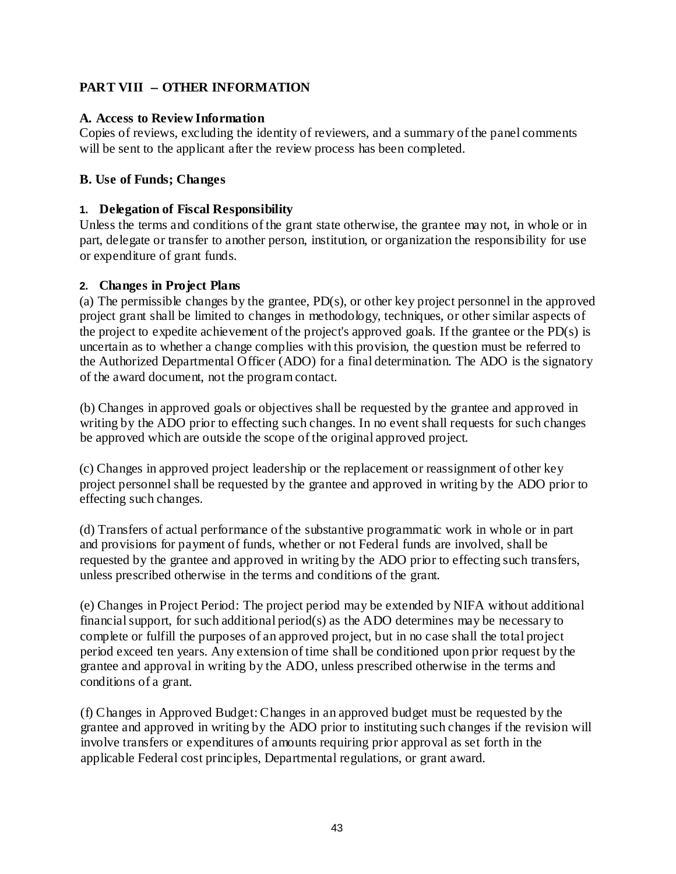## <span id="page-47-0"></span>**PART VIII** − **OTHER INFORMATION**

## <span id="page-47-1"></span>**A. Access to Review Information**

Copies of reviews, excluding the identity of reviewers, and a summary of the panel comments will be sent to the applicant after the review process has been completed.

## <span id="page-47-2"></span>**B. Use of Funds; Changes**

## **1. Delegation of Fiscal Responsibility**

Unless the terms and conditions of the grant state otherwise, the grantee may not, in whole or in part, delegate or transfer to another person, institution, or organization the responsibility for use or expenditure of grant funds.

## **2. Changes in Project Plans**

(a) The permissible changes by the grantee, PD(s), or other key project personnel in the approved project grant shall be limited to changes in methodology, techniques, or other similar aspects of the project to expedite achievement of the project's approved goals. If the grantee or the PD(s) is uncertain as to whether a change complies with this provision, the question must be referred to the Authorized Departmental Officer (ADO) for a final determination. The ADO is the signatory of the award document, not the program contact.

(b) Changes in approved goals or objectives shall be requested by the grantee and approved in writing by the ADO prior to effecting such changes. In no event shall requests for such changes be approved which are outside the scope of the original approved project.

(c) Changes in approved project leadership or the replacement or reassignment of other key project personnel shall be requested by the grantee and approved in writing by the ADO prior to effecting such changes.

(d) Transfers of actual performance of the substantive programmatic work in whole or in part and provisions for payment of funds, whether or not Federal funds are involved, shall be requested by the grantee and approved in writing by the ADO prior to effecting such transfers, unless prescribed otherwise in the terms and conditions of the grant.

(e) Changes in Project Period: The project period may be extended by NIFA without additional financialsupport, for such additional period(s) as the ADO determines may be necessary to complete or fulfill the purposes of an approved project, but in no case shall the total project period exceed ten years. Any extension of time shall be conditioned upon prior request by the grantee and approval in writing by the ADO, unless prescribed otherwise in the terms and conditions of a grant.

(f) Changes in Approved Budget:Changes in an approved budget must be requested by the grantee and approved in writing by the ADO prior to instituting such changes if the revision will involve transfers or expenditures of amounts requiring prior approval as set forth in the applicable Federal cost principles, Departmental regulations, or grant award.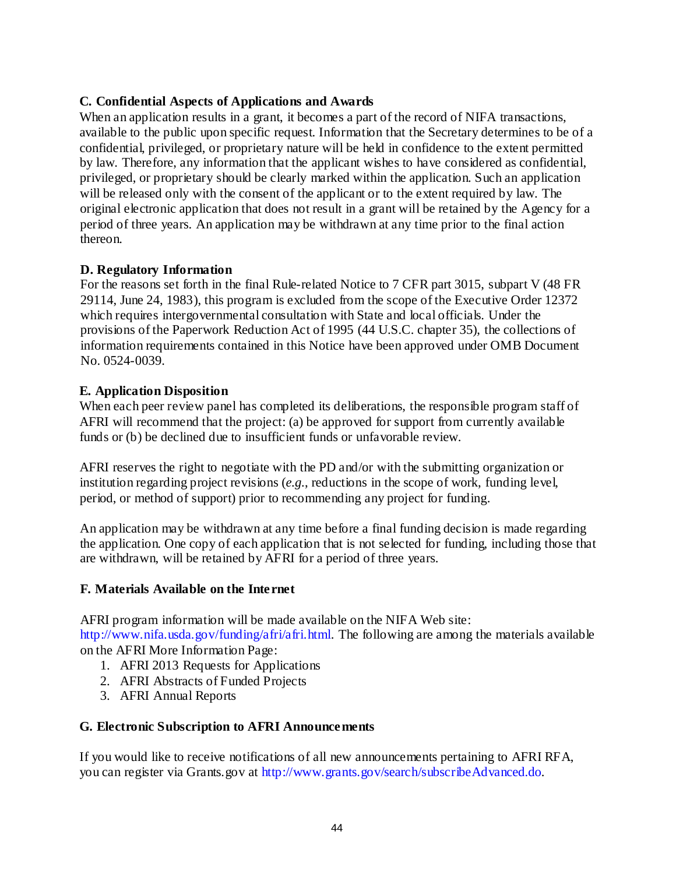## <span id="page-48-0"></span>**C. Confidential Aspects of Applications and Awards**

When an application results in a grant, it becomes a part of the record of NIFA transactions, available to the public upon specific request. Information that the Secretary determines to be of a confidential, privileged, or proprietary nature will be held in confidence to the extent permitted by law. Therefore, any information that the applicant wishes to have considered as confidential, privileged, or proprietary should be clearly marked within the application. Such an application will be released only with the consent of the applicant or to the extent required by law. The original electronic application that does not result in a grant will be retained by the Agency for a period of three years. An application may be withdrawn at any time prior to the final action thereon.

## <span id="page-48-1"></span>**D. Regulatory Information**

For the reasons set forth in the final Rule-related Notice to 7 CFR part 3015, subpart V (48 FR 29114, June 24, 1983), this program is excluded from the scope of the Executive Order 12372 which requires intergovernmental consultation with State and local officials. Under the provisions of the Paperwork Reduction Act of 1995 (44 U.S.C. chapter 35), the collections of information requirements contained in this Notice have been approved under OMB Document No. 0524-0039.

## <span id="page-48-2"></span>**E. Application Disposition**

When each peer review panel has completed its deliberations, the responsible program staff of AFRI will recommend that the project: (a) be approved for support from currently available funds or (b) be declined due to insufficient funds or unfavorable review.

AFRI reserves the right to negotiate with the PD and/or with the submitting organization or institution regarding project revisions (*e.g.*, reductions in the scope of work, funding level, period, or method of support) prior to recommending any project for funding.

An application may be withdrawn at any time before a final funding decision is made regarding the application. One copy of each application that is not selected for funding, including those that are withdrawn, will be retained by AFRI for a period of three years.

#### <span id="page-48-3"></span>**F. Materials Available on the Internet**

AFRI program information will be made available on the NIFA Web site: [http://www.nifa.usda.gov/funding/afri/afri.html.](http://www.csrees.usda.gov/funding/afri/afri.html) The following are among the materials available on the AFRI More Information Page:

- 1. AFRI 2013 Requests for Applications
- 2. AFRI Abstracts of Funded Projects
- 3. AFRI Annual Reports

#### <span id="page-48-4"></span>**G. Electronic Subscription to AFRI Announcements**

If you would like to receive notifications of all new announcements pertaining to AFRI RFA, you can register via Grants.gov at [http://www.grants.gov/search/subscribeAdvanced.do.](http://www.grants.gov/search/subscribeAdvanced.do)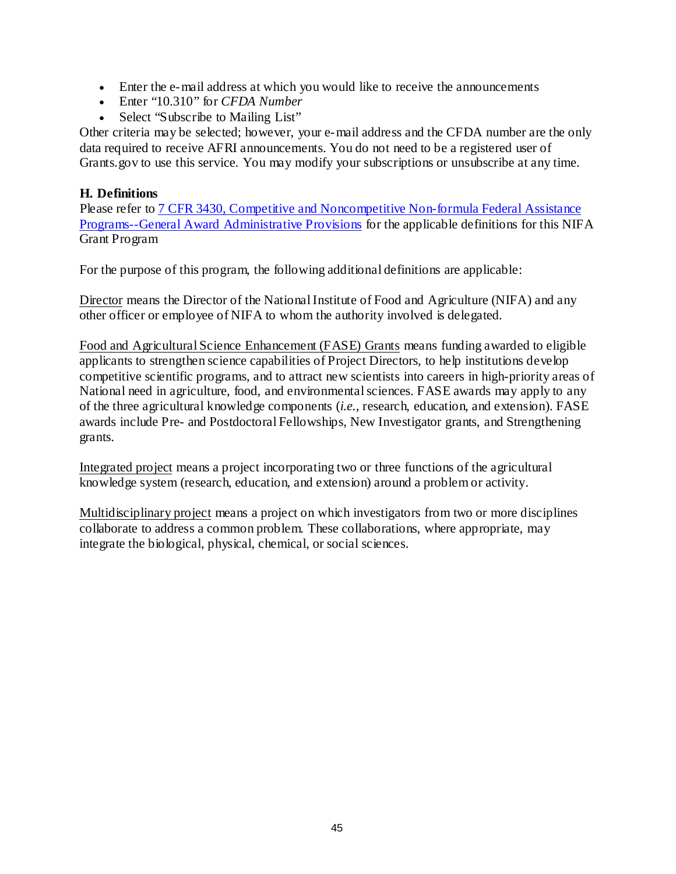- Enter the e-mail address at which you would like to receive the announcements
- Enter "10.310" for *CFDA Number*
- Select "Subscribe to Mailing List"

Other criteria may be selected; however, your e-mail address and the CFDA number are the only data required to receive AFRI announcements. You do not need to be a registered user of Grants.gov to use this service. You may modify your subscriptions or unsubscribe at any time.

## <span id="page-49-0"></span>**H. Definitions**

Please refer to [7 CFR 3430, Competitive and Noncompetitive Non-formula Federal Assistance](http://ecfr.gpoaccess.gov/cgi/t/text/text-idx?c=ecfr&sid=15132e1290d5f59d29c80fe381fa1f20&rgn=div5&view=text&node=7:15.1.11.2.13&idno=7) [Programs--General Award](http://ecfr.gpoaccess.gov/cgi/t/text/text-idx?c=ecfr&sid=15132e1290d5f59d29c80fe381fa1f20&rgn=div5&view=text&node=7:15.1.11.2.13&idno=7) Administrative Provisions for the applicable definitions for this NIFA Grant Program

For the purpose of this program, the following additional definitions are applicable:

Director means the Director of the National Institute of Food and Agriculture (NIFA) and any other officer or employee of NIFA to whom the authority involved is delegated.

Food and Agricultural Science Enhancement (FASE) Grants means funding awarded to eligible applicants to strengthen science capabilities of Project Directors, to help institutions develop competitive scientific programs, and to attract new scientists into careers in high-priority areas of National need in agriculture, food, and environmental sciences. FASE awards may apply to any of the three agricultural knowledge components (*i.e.*, research, education, and extension). FASE awards include Pre- and Postdoctoral Fellowships, New Investigator grants, and Strengthening grants.

Integrated project means a project incorporating two or three functions of the agricultural knowledge system (research, education, and extension) around a problem or activity.

Multidisciplinary project means a project on which investigators from two or more disciplines collaborate to address a common problem. These collaborations, where appropriate, may integrate the biological, physical, chemical, or social sciences.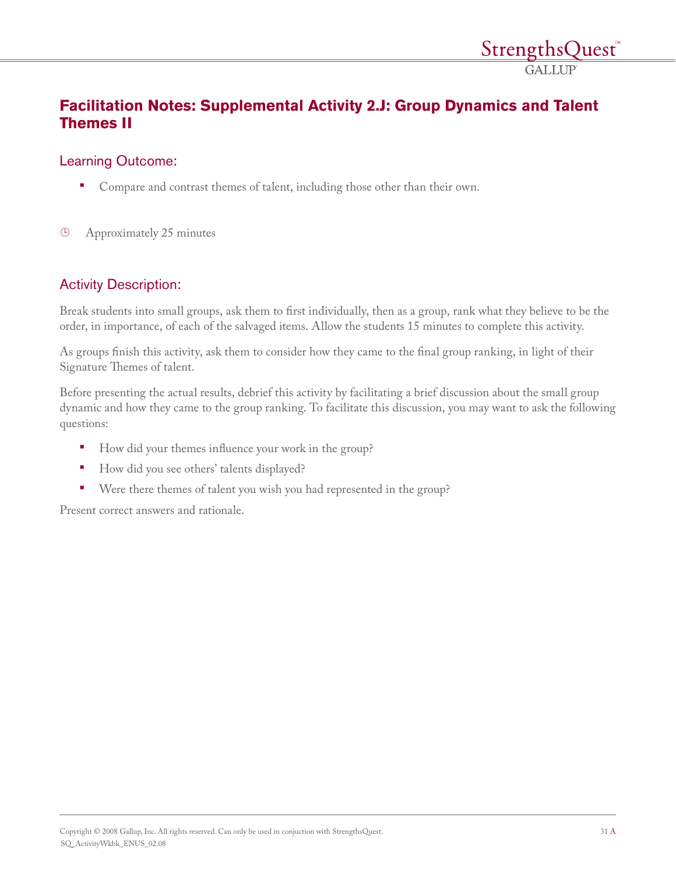## **Facilitation Notes: Supplemental Activity 2.J: Group Dynamics and Talent Themes II**

## Learning Outcome:

- Compare and contrast themes of talent, including those other than their own.
- $\bigoplus$ Approximately 25 minutes

## Activity Description:

Break students into small groups, ask them to first individually, then as a group, rank what they believe to be the order, in importance, of each of the salvaged items. Allow the students 15 minutes to complete this activity.

As groups finish this activity, ask them to consider how they came to the final group ranking, in light of their Signature Themes of talent.

Before presenting the actual results, debrief this activity by facilitating a brief discussion about the small group dynamic and how they came to the group ranking. To facilitate this discussion, you may want to ask the following questions:

- How did your themes influence your work in the group?
- How did you see others' talents displayed?
- Were there themes of talent you wish you had represented in the group?

Present correct answers and rationale.

*StrengthsQuest* **GALLUP**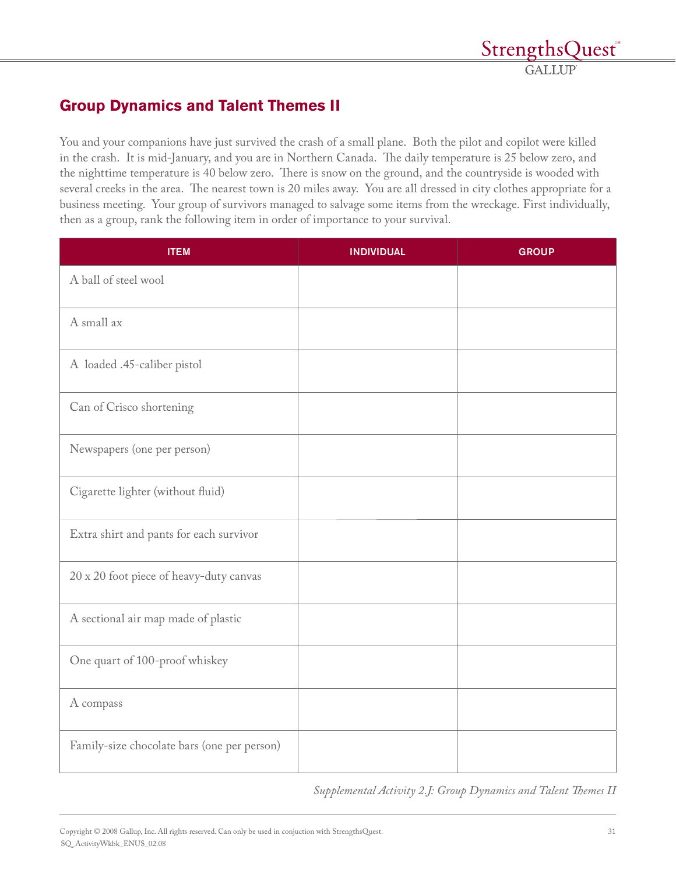# **Group Dynamics and Talent Themes II**

You and your companions have just survived the crash of a small plane. Both the pilot and copilot were killed in the crash. It is mid-January, and you are in Northern Canada. The daily temperature is 25 below zero, and the nighttime temperature is 40 below zero. There is snow on the ground, and the countryside is wooded with several creeks in the area. The nearest town is 20 miles away. You are all dressed in city clothes appropriate for a business meeting. Your group of survivors managed to salvage some items from the wreckage. First individually, then as a group, rank the following item in order of importance to your survival.

| <b>ITEM</b>                                 | <b>INDIVIDUAL</b> | <b>GROUP</b> |
|---------------------------------------------|-------------------|--------------|
| A ball of steel wool                        |                   |              |
| A small ax                                  |                   |              |
| A loaded .45-caliber pistol                 |                   |              |
| Can of Crisco shortening                    |                   |              |
| Newspapers (one per person)                 |                   |              |
| Cigarette lighter (without fluid)           |                   |              |
| Extra shirt and pants for each survivor     |                   |              |
| 20 x 20 foot piece of heavy-duty canvas     |                   |              |
| A sectional air map made of plastic         |                   |              |
| One quart of 100-proof whiskey              |                   |              |
| A compass                                   |                   |              |
| Family-size chocolate bars (one per person) |                   |              |

*Supplemental Activity 2.J: Group Dynamics and Talent Themes II*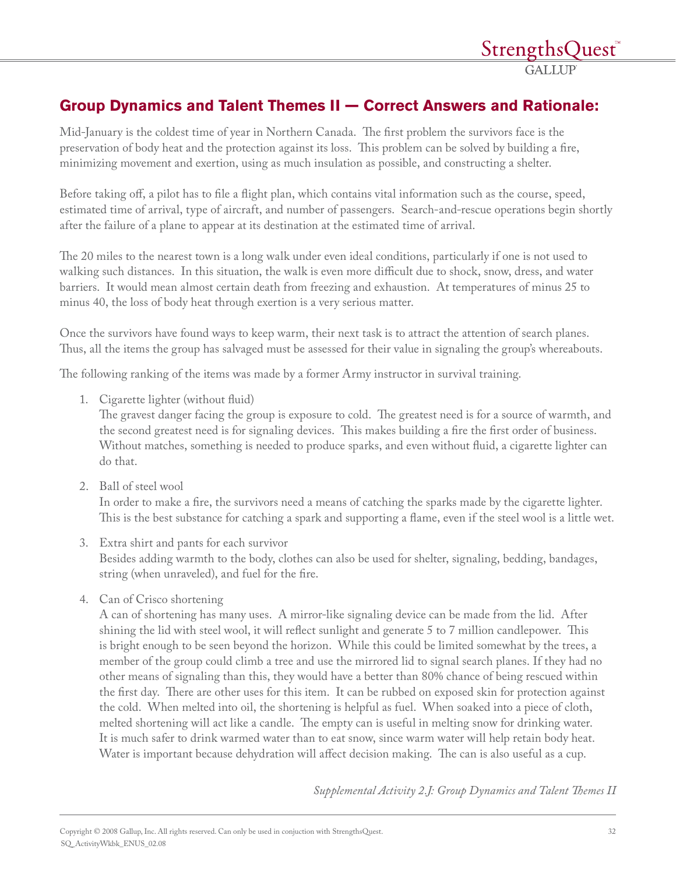# **Group Dynamics and Talent Themes II — Correct Answers and Rationale:**

Mid-January is the coldest time of year in Northern Canada. The first problem the survivors face is the preservation of body heat and the protection against its loss. This problem can be solved by building a fire, minimizing movement and exertion, using as much insulation as possible, and constructing a shelter.

Before taking off, a pilot has to file a flight plan, which contains vital information such as the course, speed, estimated time of arrival, type of aircraft, and number of passengers. Search-and-rescue operations begin shortly after the failure of a plane to appear at its destination at the estimated time of arrival.

The 20 miles to the nearest town is a long walk under even ideal conditions, particularly if one is not used to walking such distances. In this situation, the walk is even more difficult due to shock, snow, dress, and water barriers. It would mean almost certain death from freezing and exhaustion. At temperatures of minus 25 to minus 40, the loss of body heat through exertion is a very serious matter.

Once the survivors have found ways to keep warm, their next task is to attract the attention of search planes. Thus, all the items the group has salvaged must be assessed for their value in signaling the group's whereabouts.

The following ranking of the items was made by a former Army instructor in survival training.

1. Cigarette lighter (without fluid)

The gravest danger facing the group is exposure to cold. The greatest need is for a source of warmth, and the second greatest need is for signaling devices. This makes building a fire the first order of business. Without matches, something is needed to produce sparks, and even without fluid, a cigarette lighter can do that.

2. Ball of steel wool

In order to make a fire, the survivors need a means of catching the sparks made by the cigarette lighter. This is the best substance for catching a spark and supporting a flame, even if the steel wool is a little wet.

- 3. Extra shirt and pants for each survivor Besides adding warmth to the body, clothes can also be used for shelter, signaling, bedding, bandages, string (when unraveled), and fuel for the fire.
- 4. Can of Crisco shortening

A can of shortening has many uses. A mirror-like signaling device can be made from the lid. After shining the lid with steel wool, it will reflect sunlight and generate 5 to 7 million candlepower. This is bright enough to be seen beyond the horizon. While this could be limited somewhat by the trees, a member of the group could climb a tree and use the mirrored lid to signal search planes. If they had no other means of signaling than this, they would have a better than 80% chance of being rescued within the first day. There are other uses for this item. It can be rubbed on exposed skin for protection against the cold. When melted into oil, the shortening is helpful as fuel. When soaked into a piece of cloth, melted shortening will act like a candle. The empty can is useful in melting snow for drinking water. It is much safer to drink warmed water than to eat snow, since warm water will help retain body heat. Water is important because dehydration will affect decision making. The can is also useful as a cup.

*Supplemental Activity 2.J: Group Dynamics and Talent Themes II*

*StrengthsQuest*<sup>®</sup> **GALLUP**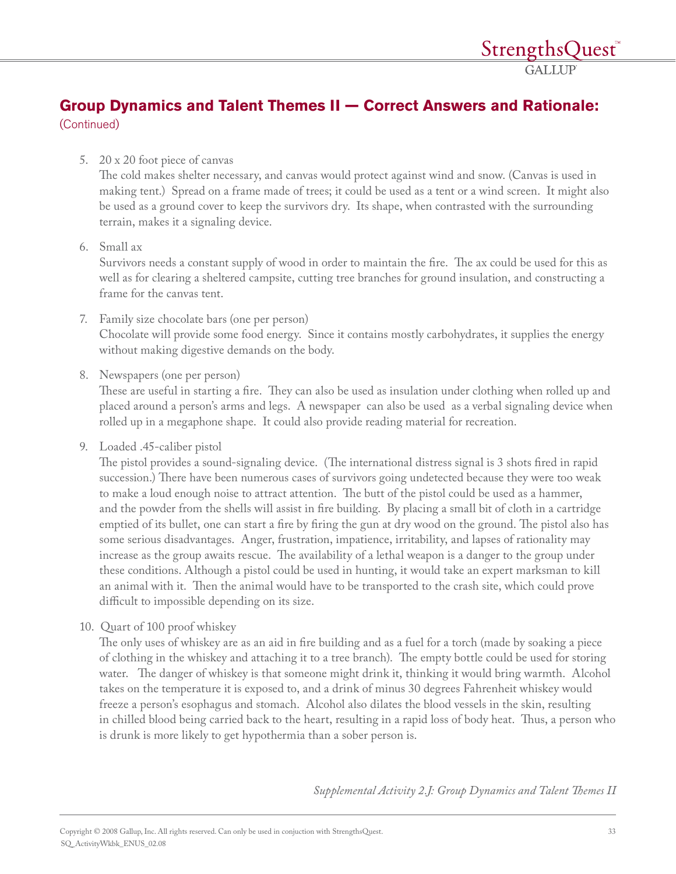# **Group Dynamics and Talent Themes II — Correct Answers and Rationale:**  (Continued)

#### 5. 20 x 20 foot piece of canvas

The cold makes shelter necessary, and canvas would protect against wind and snow. (Canvas is used in making tent.) Spread on a frame made of trees; it could be used as a tent or a wind screen. It might also be used as a ground cover to keep the survivors dry. Its shape, when contrasted with the surrounding terrain, makes it a signaling device.

#### 6. Small ax

Survivors needs a constant supply of wood in order to maintain the fire. The ax could be used for this as well as for clearing a sheltered campsite, cutting tree branches for ground insulation, and constructing a frame for the canvas tent.

- 7. Family size chocolate bars (one per person) Chocolate will provide some food energy. Since it contains mostly carbohydrates, it supplies the energy without making digestive demands on the body.
- 8. Newspapers (one per person)

These are useful in starting a fire. They can also be used as insulation under clothing when rolled up and placed around a person's arms and legs. A newspaper can also be used as a verbal signaling device when rolled up in a megaphone shape. It could also provide reading material for recreation.

9. Loaded .45-caliber pistol

The pistol provides a sound-signaling device. (The international distress signal is 3 shots fired in rapid succession.) There have been numerous cases of survivors going undetected because they were too weak to make a loud enough noise to attract attention. The butt of the pistol could be used as a hammer, and the powder from the shells will assist in fire building. By placing a small bit of cloth in a cartridge emptied of its bullet, one can start a fire by firing the gun at dry wood on the ground. The pistol also has some serious disadvantages. Anger, frustration, impatience, irritability, and lapses of rationality may increase as the group awaits rescue. The availability of a lethal weapon is a danger to the group under these conditions. Although a pistol could be used in hunting, it would take an expert marksman to kill an animal with it. Then the animal would have to be transported to the crash site, which could prove difficult to impossible depending on its size.

10. Quart of 100 proof whiskey

The only uses of whiskey are as an aid in fire building and as a fuel for a torch (made by soaking a piece of clothing in the whiskey and attaching it to a tree branch). The empty bottle could be used for storing water. The danger of whiskey is that someone might drink it, thinking it would bring warmth. Alcohol takes on the temperature it is exposed to, and a drink of minus 30 degrees Fahrenheit whiskey would freeze a person's esophagus and stomach. Alcohol also dilates the blood vessels in the skin, resulting in chilled blood being carried back to the heart, resulting in a rapid loss of body heat. Thus, a person who is drunk is more likely to get hypothermia than a sober person is.

*Supplemental Activity 2.J: Group Dynamics and Talent Themes II*

StrengthsOuest<sup>®</sup> **GALLUP**